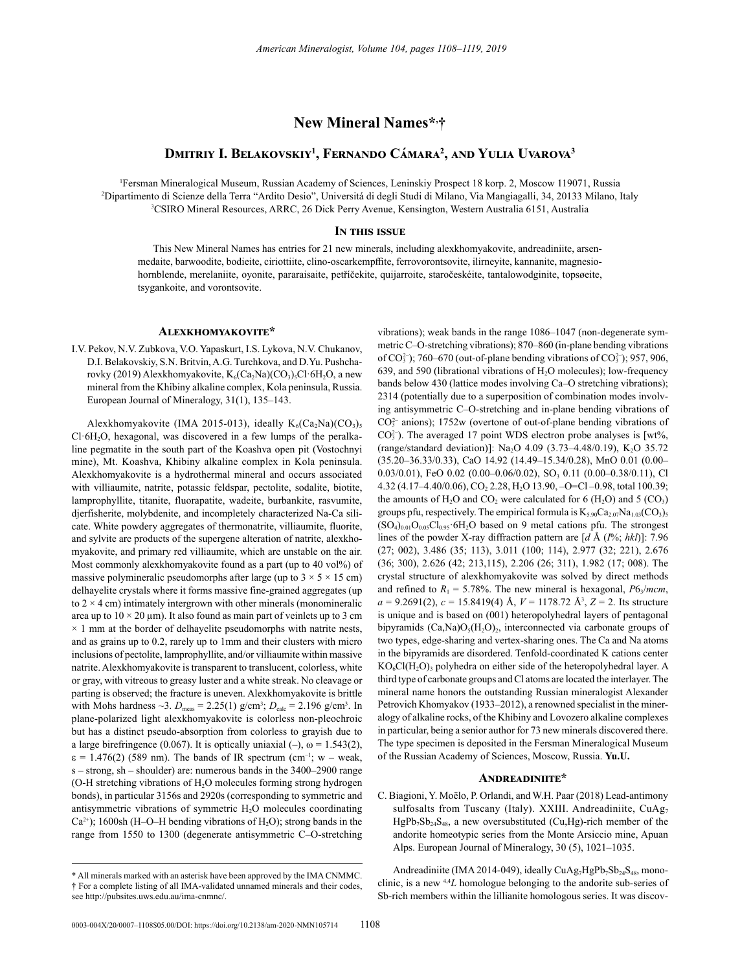# **New Mineral Names\*, †**

# **Dmitriy I. Belakovskiy<sup>1</sup> , Fernando Cámara<sup>2</sup> , and Yulia Uvarova<sup>3</sup>**

1 Fersman Mineralogical Museum, Russian Academy of Sciences, Leninskiy Prospect 18 korp. 2, Moscow 119071, Russia 2 Dipartimento di Scienze della Terra "Ardito Desio", Universitá di degli Studi di Milano, Via Mangiagalli, 34, 20133 Milano, Italy 3 CSIRO Mineral Resources, ARRC, 26 Dick Perry Avenue, Kensington, Western Australia 6151, Australia

# **In this issue**

This New Mineral Names has entries for 21 new minerals, including alexkhomyakovite, andreadiniite, arsenmedaite, barwoodite, bodieite, ciriottiite, clino-oscarkempffite, ferrovorontsovite, ilirneyite, kannanite, magnesiohornblende, merelaniite, oyonite, pararaisaite, petříčekite, quijarroite, staročeskéite, tantalowodginite, topsøeite, tsygankoite, and vorontsovite.

# **Alexkhomyakovite\***

I.V. Pekov, N.V. Zubkova, V.O. Yapaskurt, I.S. Lykova, N.V. Chukanov, D.I. Belakovskiy, S.N. Britvin, A.G. Turchkova, and D.Yu. Pushcharovky (2019) Alexkhomyakovite,  $K_6(Ca_2Na)(CO_3)_5Cl·6H_2O$ , a new mineral from the Khibiny alkaline complex, Kola peninsula, Russia. European Journal of Mineralogy, 31(1), 135–143.

Alexkhomyakovite (IMA 2015-013), ideally  $K_6(Ca_2Na)(CO_3)_5$  $Cl·6H<sub>2</sub>O$ , hexagonal, was discovered in a few lumps of the peralkaline pegmatite in the south part of the Koashva open pit (Vostochnyi mine), Mt. Koashva, Khibiny alkaline complex in Kola peninsula. Alexkhomyakovite is a hydrothermal mineral and occurs associated with villiaumite, natrite, potassic feldspar, pectolite, sodalite, biotite, lamprophyllite, titanite, fluorapatite, wadeite, burbankite, rasvumite, djerfisherite, molybdenite, and incompletely characterized Na-Ca silicate. White powdery aggregates of thermonatrite, villiaumite, fluorite, and sylvite are products of the supergene alteration of natrite, alexkhomyakovite, and primary red villiaumite, which are unstable on the air. Most commonly alexkhomyakovite found as a part (up to 40 vol%) of massive polymineralic pseudomorphs after large (up to  $3 \times 5 \times 15$  cm) delhayelite crystals where it forms massive fine-grained aggregates (up to  $2 \times 4$  cm) intimately intergrown with other minerals (monomineralic area up to  $10 \times 20$  µm). It also found as main part of veinlets up to 3 cm  $\times$  1 mm at the border of delhayelite pseudomorphs with natrite nests, and as grains up to 0.2, rarely up to 1mm and their clusters with micro inclusions of pectolite, lamprophyllite, and/or villiaumite within massive natrite. Alexkhomyakovite is transparent to translucent, colorless, white or gray, with vitreous to greasy luster and a white streak. No cleavage or parting is observed; the fracture is uneven. Alexkhomyakovite is brittle with Mohs hardness  $\sim$ 3.  $D_{\text{meas}} = 2.25(1) \text{ g/cm}^3$ ;  $D_{\text{calc}} = 2.196 \text{ g/cm}^3$ . In plane-polarized light alexkhomyakovite is colorless non-pleochroic but has a distinct pseudo-absorption from colorless to grayish due to a large birefringence (0.067). It is optically uniaxial  $(-)$ ,  $\omega = 1.543(2)$ ,  $\varepsilon = 1.476(2)$  (589 nm). The bands of IR spectrum (cm<sup>-1</sup>; w – weak, s – strong, sh – shoulder) are: numerous bands in the 3400–2900 range (O-H stretching vibrations of  $H_2O$  molecules forming strong hydrogen bonds), in particular 3156s and 2920s (corresponding to symmetric and antisymmetric vibrations of symmetric  $H_2O$  molecules coordinating  $Ca^{2+}$ ); 1600sh (H–O–H bending vibrations of H<sub>2</sub>O); strong bands in the range from 1550 to 1300 (degenerate antisymmetric C–O-stretching

vibrations); weak bands in the range 1086–1047 (non-degenerate symmetric C–O-stretching vibrations); 870–860 (in-plane bending vibrations of  $CO_3^{2-}$ ); 760–670 (out-of-plane bending vibrations of  $CO_3^{2-}$ ); 957, 906, 639, and 590 (librational vibrations of  $H_2O$  molecules); low-frequency bands below 430 (lattice modes involving Ca–O stretching vibrations); 2314 (potentially due to a superposition of combination modes involving antisymmetric C–O-stretching and in-plane bending vibrations of  $CO<sub>3</sub><sup>2</sup>$  anions); 1752w (overtone of out-of-plane bending vibrations of  $CO<sub>3</sub><sup>2</sup>$ ). The averaged 17 point WDS electron probe analyses is [wt%, (range/standard deviation)]: Na<sub>2</sub>O 4.09 (3.73-4.48/0.19), K<sub>2</sub>O 35.72 (35.20–36.33/0.33), CaO 14.92 (14.49–15.34/0.28), MnO 0.01 (0.00–  $0.03/0.01$ ), FeO  $0.02$   $(0.00-0.06/0.02)$ , SO<sub>3</sub>  $0.11$   $(0.00-0.38/0.11)$ , Cl 4.32 (4.17-4.40/0.06), CO<sub>2</sub> 2.28, H<sub>2</sub>O 13.90, -O=Cl -0.98, total 100.39; the amounts of  $H_2O$  and  $CO_2$  were calculated for 6 ( $H_2O$ ) and 5 ( $CO_3$ ) groups pfu, respectively. The empirical formula is  $K_{5.90}Ca_{2.07}Na_{1.03}(CO_3)$ 5  $(SO<sub>4</sub>)<sub>0.01</sub>O<sub>0.05</sub>Cl<sub>0.95</sub>·6H<sub>2</sub>O$  based on 9 metal cations pfu. The strongest lines of the powder X-ray diffraction pattern are [*d* Å (*I*%; *hkl*)]: 7.96 (27; 002), 3.486 (35; 113), 3.011 (100; 114), 2.977 (32; 221), 2.676 (36; 300), 2.626 (42; 213,115), 2.206 (26; 311), 1.982 (17; 008). The crystal structure of alexkhomyakovite was solved by direct methods and refined to  $R_1 = 5.78\%$ . The new mineral is hexagonal,  $P6\sqrt{m}cm$ , *a* = 9.2691(2), *c* = 15.8419(4) Å, *V* = 1178.72 Å3 , *Z* = 2. Its structure is unique and is based on (001) heteropolyhedral layers of pentagonal bipyramids  $(Ca,Na)O<sub>5</sub>(H<sub>2</sub>O)<sub>2</sub>$ , interconnected via carbonate groups of two types, edge-sharing and vertex-sharing ones. The Ca and Na atoms in the bipyramids are disordered. Tenfold-coordinated K cations center  $KO<sub>6</sub>Cl(H<sub>2</sub>O)<sub>3</sub>$  polyhedra on either side of the heteropolyhedral layer. A third type of carbonate groups and Cl atoms are located the interlayer. The mineral name honors the outstanding Russian mineralogist Alexander Petrovich Khomyakov (1933–2012), a renowned specialist in the mineralogy of alkaline rocks, of the Khibiny and Lovozero alkaline complexes in particular, being a senior author for 73 new minerals discovered there. The type specimen is deposited in the Fersman Mineralogical Museum of the Russian Academy of Sciences, Moscow, Russia. **Yu.U.**

# **Andreadiniite\***

C. Biagioni, Y. Moëlo, P. Orlandi, and W.H. Paar (2018) Lead-antimony sulfosalts from Tuscany (Italy). XXIII. Andreadiniite, CuAg<sub>7</sub>  $HgPb_7Sb_{24}S_{48}$ , a new oversubstituted (Cu,Hg)-rich member of the andorite homeotypic series from the Monte Arsiccio mine, Apuan Alps. European Journal of Mineralogy, 30 (5), 1021–1035.

Andreadiniite (IMA 2014-049), ideally CuAg<sub>7</sub>HgPb<sub>7</sub>Sb<sub>24</sub>S<sub>48</sub>, monoclinic, is a new 4,4*L* homologue belonging to the andorite sub-series of Sb-rich members within the lillianite homologous series. It was discov-

<sup>\*</sup> All minerals marked with an asterisk have been approved by the IMA CNMMC. † For a complete listing of all IMA-validated unnamed minerals and their codes, see http://pubsites.uws.edu.au/ima-cnmnc/.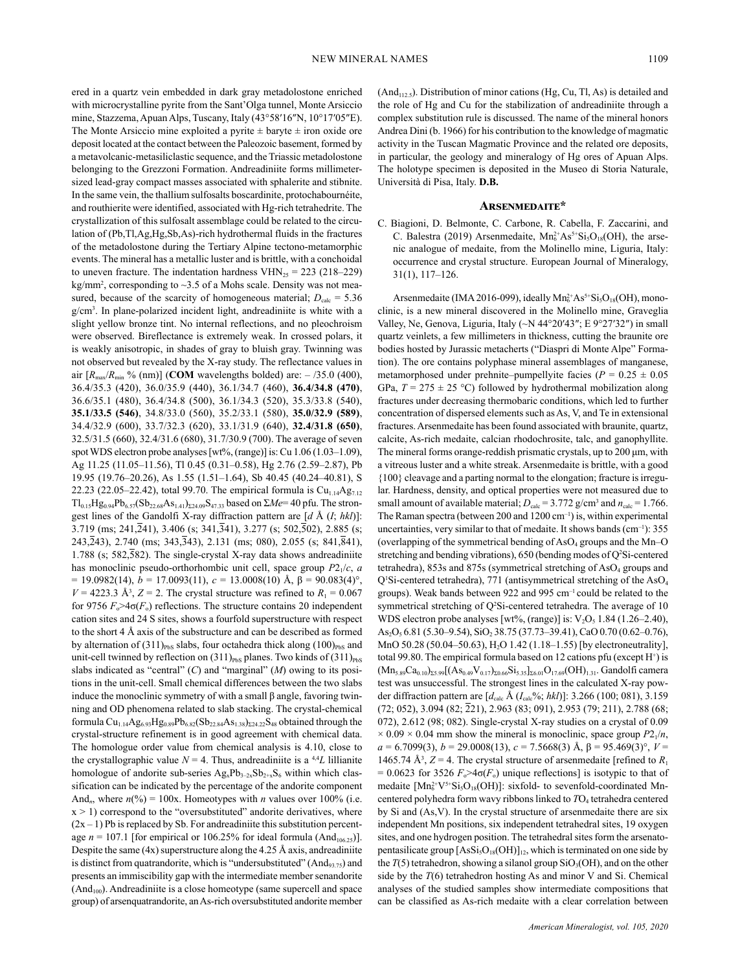ered in a quartz vein embedded in dark gray metadolostone enriched with microcrystalline pyrite from the Sant'Olga tunnel, Monte Arsiccio mine, Stazzema, Apuan Alps, Tuscany, Italy (43°58′16″N, 10°17′05″E). The Monte Arsiccio mine exploited a pyrite  $\pm$  baryte  $\pm$  iron oxide ore deposit located at the contact between the Paleozoic basement, formed by a metavolcanic-metasiliclastic sequence, and the Triassic metadolostone belonging to the Grezzoni Formation. Andreadiniite forms millimetersized lead-gray compact masses associated with sphalerite and stibnite. In the same vein, the thallium sulfosalts boscardinite, protochabournéite, and routhierite were identified, associated with Hg-rich tetrahedrite. The crystallization of this sulfosalt assemblage could be related to the circulation of (Pb,Tl,Ag,Hg,Sb,As)-rich hydrothermal fluids in the fractures of the metadolostone during the Tertiary Alpine tectono-metamorphic events. The mineral has a metallic luster and is brittle, with a conchoidal to uneven fracture. The indentation hardness  $VHN_{25} = 223$  (218–229) kg/mm<sup>2</sup>, corresponding to ~3.5 of a Mohs scale. Density was not measured, because of the scarcity of homogeneous material;  $D_{\text{calc}} = 5.36$ g/cm3 . In plane-polarized incident light, andreadiniite is white with a slight yellow bronze tint. No internal reflections, and no pleochroism were observed. Bireflectance is extremely weak. In crossed polars, it is weakly anisotropic, in shades of gray to bluish gray. Twinning was not observed but revealed by the X-ray study. The reflectance values in air  $[R_{\text{max}}/R_{\text{min}}\%$  (nm)] (**COM** wavelengths bolded) are:  $-$  /35.0 (400), 36.4/35.3 (420), 36.0/35.9 (440), 36.1/34.7 (460), **36.4/34.8 (470)**, 36.6/35.1 (480), 36.4/34.8 (500), 36.1/34.3 (520), 35.3/33.8 (540), **35.1/33.5 (546)**, 34.8/33.0 (560), 35.2/33.1 (580), **35.0/32.9 (589)**, 34.4/32.9 (600), 33.7/32.3 (620), 33.1/31.9 (640), **32.4/31.8 (650)**, 32.5/31.5 (660), 32.4/31.6 (680), 31.7/30.9 (700). The average of seven spot WDS electron probe analyses [wt%, (range)] is: Cu 1.06 (1.03–1.09), Ag 11.25 (11.05–11.56), Tl 0.45 (0.31–0.58), Hg 2.76 (2.59–2.87), Pb 19.95 (19.76–20.26), As 1.55 (1.51–1.64), Sb 40.45 (40.24–40.81), S 22.23 (22.05–22.42), total 99.70. The empirical formula is  $Cu_{1.14}Ag_{7.12}$  $Tl_{0.15}Hg_{0.94}Pb_{6.57}(Sb_{22.68}As_{1.41})_{\Sigma24.09}S_{47.33}$  based on  $\Sigma Me=40$  pfu. The strongest lines of the Gandolfi X-ray diffraction pattern are [*d* Å (*I*; *hkl*)]: 3.719 (ms; 241, $\overline{2}41$ ), 3.406 (s; 341, $\overline{3}41$ ), 3.277 (s; 502, $\overline{5}02$ ), 2.885 (s; 243, $\overline{2}43$ , 2.740 (ms; 343, $\overline{3}43$ ), 2.131 (ms; 080), 2.055 (s; 841, $\overline{8}41$ ), 1.788 (s; 582,582). The single-crystal X-ray data shows andreadiniite has monoclinic pseudo-orthorhombic unit cell, space group *P*21/*c*, *a* = 19.0982(14), *b* = 17.0093(11), *c* = 13.0008(10) Å, β = 90.083(4)°,  $V = 4223.3 \text{ Å}^3$ ,  $Z = 2$ . The crystal structure was refined to  $R_1 = 0.067$ for 9756  $F_{\circ}$ >4 $\sigma(F_{\circ})$  reflections. The structure contains 20 independent cation sites and 24 S sites, shows a fourfold superstructure with respect to the short 4 Å axis of the substructure and can be described as formed by alternation of  $(311)_{\text{PbS}}$  slabs, four octahedra thick along  $(100)_{\text{PbS}}$  and unit-cell twinned by reflection on  $(311)_{\text{PbS}}$  planes. Two kinds of  $(311)_{\text{PbS}}$ slabs indicated as "central" (*C*) and "marginal" (*M*) owing to its positions in the unit-cell. Small chemical differences between the two slabs induce the monoclinic symmetry of with a small β angle, favoring twinning and OD phenomena related to slab stacking. The crystal-chemical formula Cu<sub>1.14</sub>Ag<sub>6.93</sub>Hg<sub>0.89</sub>Pb<sub>6.82</sub>(Sb<sub>22.84</sub>As<sub>1.38</sub>)<sub> $\Sigma$ 24.22</sub>S<sub>48</sub> obtained through the crystal-structure refinement is in good agreement with chemical data. The homologue order value from chemical analysis is 4.10, close to the crystallographic value  $N = 4$ . Thus, andreadiniite is a <sup>4,4</sup>L lillianite homologue of andorite sub-series  $Ag_xPb_{3-2x}Sb_{2+x}S_6$  within which classification can be indicated by the percentage of the andorite component And<sub>n</sub>, where  $n\binom{0}{0} = 100x$ . Homeotypes with *n* values over 100% (i.e.  $x > 1$ ) correspond to the "oversubstituted" andorite derivatives, where  $(2x - 1)$  Pb is replaced by Sb. For andreadiniite this substitution percentage  $n = 107.1$  [for empirical or 106.25% for ideal formula (And<sub>106.25</sub>)]. Despite the same  $(4x)$  superstructure along the 4.25 Å axis, andreadiniite is distinct from quatrandorite, which is "undersubstituted"  $(And_{93.75})$  and presents an immiscibility gap with the intermediate member senandorite  $(And<sub>100</sub>)$ . Andreadiniite is a close homeotype (same supercell and space group) of arsenquatrandorite, an As-rich oversubstituted andorite member

 $(And<sub>112.5</sub>)$ . Distribution of minor cations  $(Hg, Cu, Tl, As)$  is detailed and the role of Hg and Cu for the stabilization of andreadiniite through a complex substitution rule is discussed. The name of the mineral honors Andrea Dini (b. 1966) for his contribution to the knowledge of magmatic activity in the Tuscan Magmatic Province and the related ore deposits, in particular, the geology and mineralogy of Hg ores of Apuan Alps. The holotype specimen is deposited in the Museo di Storia Naturale, Università di Pisa, Italy. **D.B.**

#### **Arsenmedaite\***

C. Biagioni, D. Belmonte, C. Carbone, R. Cabella, F. Zaccarini, and C. Balestra (2019) Arsenmedaite,  $Mn_6^{2+}As^{5+}Si_5O_{18}(OH)$ , the arsenic analogue of medaite, from the Molinello mine, Liguria, Italy: occurrence and crystal structure. European Journal of Mineralogy, 31(1), 117–126.

Arsenmedaite (IMA 2016-099), ideally  $Mn_6^{2+}As^{5+}Si_5O_{18}(OH)$ , monoclinic, is a new mineral discovered in the Molinello mine, Graveglia Valley, Ne, Genova, Liguria, Italy (~N 44°20′43″; E 9°27′32″) in small quartz veinlets, a few millimeters in thickness, cutting the braunite ore bodies hosted by Jurassic metacherts ("Diaspri di Monte Alpe" Formation). The ore contains polyphase mineral assemblages of manganese, metamorphosed under prehnite–pumpellyite facies ( $P = 0.25 \pm 0.05$ ) GPa,  $T = 275 \pm 25$  °C) followed by hydrothermal mobilization along fractures under decreasing thermobaric conditions, which led to further concentration of dispersed elements such as As, V, and Te in extensional fractures. Arsenmedaite has been found associated with braunite, quartz, calcite, As-rich medaite, calcian rhodochrosite, talc, and ganophyllite. The mineral forms orange-reddish prismatic crystals, up to 200 μm, with a vitreous luster and a white streak. Arsenmedaite is brittle, with a good {100} cleavage and a parting normal to the elongation; fracture is irregular. Hardness, density, and optical properties were not measured due to small amount of available material;  $D_{\text{calc}} = 3.772 \text{ g/cm}^3$  and  $n_{\text{calc}} = 1.766$ . The Raman spectra (between 200 and  $1200 \text{ cm}^{-1}$ ) is, within experimental uncertainties, very similar to that of medaite. It shows bands  $(cm<sup>-1</sup>): 355$ (overlapping of the symmetrical bending of  $AsO<sub>4</sub>$  groups and the Mn–O stretching and bending vibrations), 650 (bending modes of Q<sup>2</sup>Si-centered tetrahedra), 853s and 875s (symmetrical stretching of  $AsO<sub>4</sub>$  groups and Q'Si-centered tetrahedra), 771 (antisymmetrical stretching of the AsO<sub>4</sub> groups). Weak bands between 922 and 995 cm–1 could be related to the symmetrical stretching of Q<sup>2</sup>Si-centered tetrahedra. The average of 10 WDS electron probe analyses [wt%, (range)] is:  $V_2O_5$  1.84 (1.26–2.40), As<sub>2</sub>O<sub>5</sub> 6.81 (5.30–9.54), SiO<sub>2</sub> 38.75 (37.73–39.41), CaO 0.70 (0.62–0.76), MnO 50.28 (50.04–50.63), H<sub>2</sub>O 1.42 (1.18–1.55) [by electroneutrality], total 99.80. The empirical formula based on 12 cations pfu (except  $H^+$ ) is  $(Mn_{5.89}Ca_{0.10})_{\Sigma 5.99}[(As_{0.49}V_{0.17})_{\Sigma 0.66}Si_{5.35}]_{\Sigma 6.01}O_{17.69}(OH)_{1.31}$ . Gandolfi camera test was unsuccessful. The strongest lines in the calculated X-ray powder diffraction pattern are  $[d_{\text{calc}} \text{Å } (I_{\text{calc}}\%; \text{hkl})]$ : 3.266 (100; 081), 3.159  $(72; 052)$ ,  $3.094$   $(82; 21)$ ,  $2.963$   $(83; 091)$ ,  $2.953$   $(79; 211)$ ,  $2.788$   $(68;$ 072), 2.612 (98; 082). Single-crystal X-ray studies on a crystal of 0.09  $\times$  0.09  $\times$  0.04 mm show the mineral is monoclinic, space group  $P2_1/n$ , *a* = 6.7099(3), *b* = 29.0008(13), *c* = 7.5668(3) Å, β = 95.469(3)°, *V* = 1465.74 Å<sup>3</sup>,  $Z = 4$ . The crystal structure of arsenmedaite [refined to  $R_1$  $= 0.0623$  for 3526  $F_0 > 4\sigma(F_0)$  unique reflections] is isotypic to that of medaite  $[Mn_6^{2+}V^{5+}Si_5O_{18}(OH)]$ : sixfold- to sevenfold-coordinated Mncentered polyhedra form wavy ribbons linked to  $TO<sub>4</sub>$  tetrahedra centered by Si and (As,V). In the crystal structure of arsenmedaite there are six independent Mn positions, six independent tetrahedral sites, 19 oxygen sites, and one hydrogen position. The tetrahedral sites form the arsenatopentasilicate group  $[{\rm Ass}_{15}{\rm O}_{18}({\rm OH})]_{12}$ , which is terminated on one side by the  $T(5)$  tetrahedron, showing a silanol group  $SiO<sub>3</sub>(OH)$ , and on the other side by the *T*(6) tetrahedron hosting As and minor V and Si. Chemical analyses of the studied samples show intermediate compositions that can be classified as As-rich medaite with a clear correlation between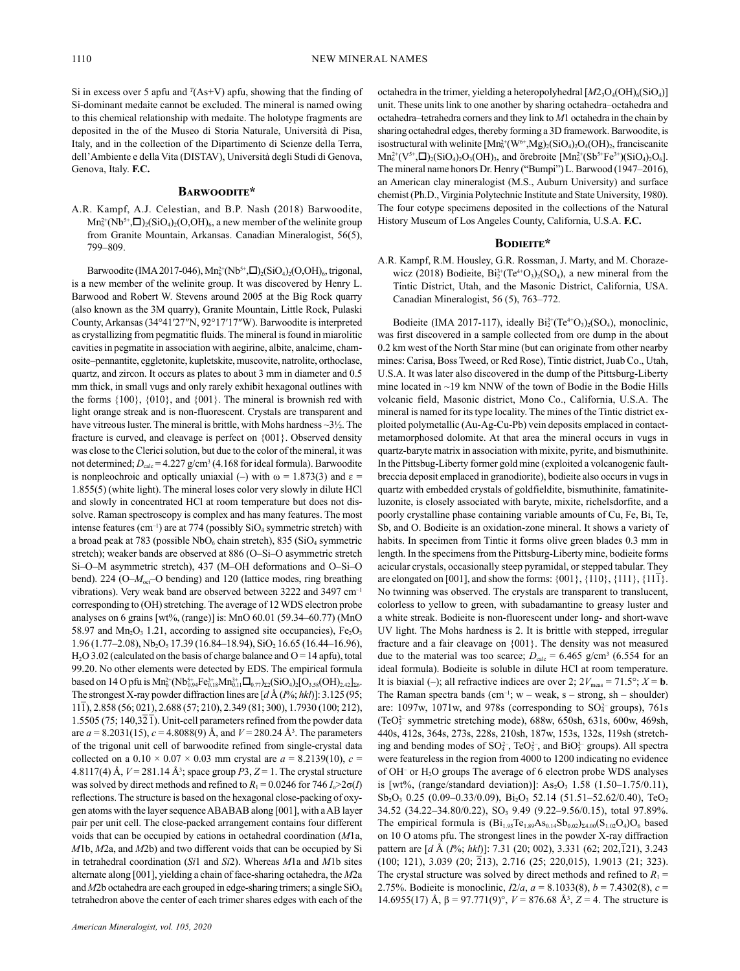Si in excess over 5 apfu and  $T(As+V)$  apfu, showing that the finding of Si-dominant medaite cannot be excluded. The mineral is named owing to this chemical relationship with medaite. The holotype fragments are deposited in the of the Museo di Storia Naturale, Università di Pisa, Italy, and in the collection of the Dipartimento di Scienze della Terra, dell'Ambiente e della Vita (DISTAV), Università degli Studi di Genova, Genova, Italy. **F.C.**

# **Barwoodite\***

A.R. Kampf, A.J. Celestian, and B.P. Nash (2018) Barwoodite,  $Mn_6^{2+}(Nb^{5+},\square)_2(SiO_4)_2(O,OH)_6$ , a new member of the welinite group from Granite Mountain, Arkansas. Canadian Mineralogist, 56(5), 799–809.

Barwoodite (IMA 2017-046),  $Mn_6^{2+}(Nb^{5+},\Box)_{2}(SiO_4)_{2}(O,OH)_{6}$ , trigonal, is a new member of the welinite group. It was discovered by Henry L. Barwood and Robert W. Stevens around 2005 at the Big Rock quarry (also known as the 3M quarry), Granite Mountain, Little Rock, Pulaski County, Arkansas (34°41′27″N, 92°17′17″W). Barwoodite is interpreted as crystallizing from pegmatitic fluids. The mineral is found in miarolitic cavities in pegmatite in association with aegirine, albite, analcime, chamosite–pennantite, eggletonite, kupletskite, muscovite, natrolite, orthoclase, quartz, and zircon. It occurs as plates to about 3 mm in diameter and 0.5 mm thick, in small vugs and only rarely exhibit hexagonal outlines with the forms {100}, {010}, and {001}. The mineral is brownish red with light orange streak and is non-fluorescent. Crystals are transparent and have vitreous luster. The mineral is brittle, with Mohs hardness ~3½. The fracture is curved, and cleavage is perfect on {001}. Observed density was close to the Clerici solution, but due to the color of the mineral, it was not determined;  $D_{\text{calc}} = 4.227 \text{ g/cm}^3 (4.168 \text{ for ideal formula}).$  Barwoodite is nonpleochroic and optically uniaxial (–) with  $\omega = 1.873(3)$  and  $\varepsilon =$ 1.855(5) (white light). The mineral loses color very slowly in dilute HCl and slowly in concentrated HCl at room temperature but does not dissolve. Raman spectroscopy is complex and has many features. The most intense features (cm<sup>-1</sup>) are at 774 (possibly  $SiO<sub>4</sub>$  symmetric stretch) with a broad peak at 783 (possible  $NbO_6$  chain stretch), 835 (SiO<sub>4</sub> symmetric stretch); weaker bands are observed at 886 (O–Si–O asymmetric stretch Si–O–M asymmetric stretch), 437 (M–OH deformations and O–Si–O bend). 224 (O– $M_{\text{est}}$ –O bending) and 120 (lattice modes, ring breathing vibrations). Very weak band are observed between 3222 and 3497 cm–1 corresponding to (OH) stretching. The average of 12 WDS electron probe analyses on 6 grains [wt%, (range)] is: MnO 60.01 (59.34–60.77) (MnO 58.97 and  $Mn_2O_3$  1.21, according to assigned site occupancies),  $Fe<sub>2</sub>O<sub>3</sub>$  $1.96 (1.77-2.08)$ , Nb<sub>2</sub>O<sub>5</sub> 17.39 (16.84–18.94), SiO<sub>2</sub> 16.65 (16.44–16.96),  $H<sub>2</sub>O$  3.02 (calculated on the basis of charge balance and  $O = 14$  apfu), total 99.20. No other elements were detected by EDS. The empirical formula based on 14 O pfu is  $Mn_6^{2+}(Nb_{0.94}^{5+}Fe_{0.18}^{3+}Mn_{0.11}^{3+}\Box_{0.77})_{\Sigma_2}(SiO_4)_2[O_{3.58}(OH)_{2.42}]_{\Sigma_6}$ . The strongest X-ray powder diffraction lines are [*d* Å (*I*%; *hkl*)]: 3.125 (95; 111), 2.858 (56; 021), 2.688 (57; 210), 2.349 (81; 300), 1.7930 (100; 212), 1.5505 (75; 140,321). Unit-cell parameters refined from the powder data are *a* = 8.2031(15), *c* = 4.8088(9) Å, and *V* = 280.24 Å<sup>3</sup> . The parameters of the trigonal unit cell of barwoodite refined from single-crystal data collected on a  $0.10 \times 0.07 \times 0.03$  mm crystal are  $a = 8.2139(10)$ ,  $c =$ 4.8117(4) Å, *V* = 281.14 Å<sup>3</sup> ; space group *P*3, *Z* = 1. The crystal structure was solved by direct methods and refined to  $R_1 = 0.0246$  for  $746 I_0 > 2\sigma(I)$ reflections. The structure is based on the hexagonal close-packing of oxygen atoms with the layer sequence ABABAB along [001], with a AB layer pair per unit cell. The close-packed arrangement contains four different voids that can be occupied by cations in octahedral coordination (*M*1a, *M*1b, *M*2a, and *M*2b) and two different voids that can be occupied by Si in tetrahedral coordination (*Si*1 and *Si*2). Whereas *M*1a and *M*1b sites alternate along [001], yielding a chain of face-sharing octahedra, the *M*2a and *M*2b octahedra are each grouped in edge-sharing trimers; a single SiO<sub>4</sub> tetrahedron above the center of each trimer shares edges with each of the

octahedra in the trimer, yielding a heteropolyhedral  $[M2_3O_4(OH)_6(SiO_4)]$ unit. These units link to one another by sharing octahedra–octahedra and octahedra–tetrahedra corners and they link to *M*1 octahedra in the chain by sharing octahedral edges, thereby forming a 3D framework. Barwoodite, is isostructural with welinite  $[Mn_6^{2+}(W^{6+},Mg)_2(SiO_4)_2O_4(OH)_2$ , franciscanite  $Mn_6^{2+}(V^{5+},\square)_2(SiO_4)_2O_3(OH)_{3}$ , and örebroite  $[Mn_6^{2+}(Sb^{5+}Fe^{3+})(SiO_4)_2O_6]$ . The mineral name honors Dr. Henry ("Bumpi") L. Barwood (1947–2016), an American clay mineralogist (M.S., Auburn University) and surface chemist (Ph.D., Virginia Polytechnic Institute and State University, 1980). The four cotype specimens deposited in the collections of the Natural History Museum of Los Angeles County, California, U.S.A. **F.C.**

# **Bodieite\***

A.R. Kampf, R.M. Housley, G.R. Rossman, J. Marty, and M. Chorazewicz (2018) Bodieite,  $Bi_2^{3+}(Te^{4+}O_3)_2(SO_4)$ , a new mineral from the Tintic District, Utah, and the Masonic District, California, USA. Canadian Mineralogist, 56 (5), 763–772.

Bodieite (IMA 2017-117), ideally  $Bi_2^{3+}(Te^{4+}O_3)_2(SO_4)$ , monoclinic, was first discovered in a sample collected from ore dump in the about 0.2 km west of the North Star mine (but can originate from other nearby mines: Carisa, Boss Tweed, or Red Rose), Tintic district, Juab Co., Utah, U.S.A. It was later also discovered in the dump of the Pittsburg-Liberty mine located in ~19 km NNW of the town of Bodie in the Bodie Hills volcanic field, Masonic district, Mono Co., California, U.S.A. The mineral is named for its type locality. The mines of the Tintic district exploited polymetallic (Au-Ag-Cu-Pb) vein deposits emplaced in contactmetamorphosed dolomite. At that area the mineral occurs in vugs in quartz-baryte matrix in association with mixite, pyrite, and bismuthinite. In the Pittsbug-Liberty former gold mine (exploited a volcanogenic faultbreccia deposit emplaced in granodiorite), bodieite also occurs in vugs in quartz with embedded crystals of goldfieldite, bismuthinite, famatiniteluzonite, is closely associated with baryte, mixite, richelsdorfite, and a poorly crystalline phase containing variable amounts of Cu, Fe, Bi, Te, Sb, and O. Bodieite is an oxidation-zone mineral. It shows a variety of habits. In specimen from Tintic it forms olive green blades 0.3 mm in length. In the specimens from the Pittsburg-Liberty mine, bodieite forms acicular crystals, occasionally steep pyramidal, or stepped tabular. They are elongated on [001], and show the forms: {001}, {110}, {111}, {111}. No twinning was observed. The crystals are transparent to translucent, colorless to yellow to green, with subadamantine to greasy luster and a white streak. Bodieite is non-fluorescent under long- and short-wave UV light. The Mohs hardness is 2. It is brittle with stepped, irregular fracture and a fair cleavage on {001}. The density was not measured due to the material was too scarce;  $D_{\text{calc}} = 6.465 \text{ g/cm}^3 (6.554 \text{ for an})$ ideal formula). Bodieite is soluble in dilute HCl at room temperature. It is biaxial (-); all refractive indices are over 2;  $2V_{\text{meas}} = 71.5^{\circ}$ ;  $X = \mathbf{b}$ . The Raman spectra bands (cm<sup>-1</sup>;  $w$  – weak,  $s$  – strong, sh – shoulder) are: 1097w, 1071w, and 978s (corresponding to  $SO<sub>4</sub><sup>-</sup>$  groups), 761s (TeO3 2– symmetric stretching mode), 688w, 650sh, 631s, 600w, 469sh, 440s, 412s, 364s, 273s, 228s, 210sh, 187w, 153s, 132s, 119sh (stretching and bending modes of  $SO_4^2$ , TeO $_3^2$ , and BiO $_3^3$  groups). All spectra were featureless in the region from 4000 to 1200 indicating no evidence of OH<sup>-</sup> or H<sub>2</sub>O groups The average of 6 electron probe WDS analyses is [wt%, (range/standard deviation)]:  $As<sub>2</sub>O<sub>3</sub> 1.58 (1.50-1.75/0.11)$ ,  $Sb_2O_3$  0.25 (0.09-0.33/0.09),  $Bi_2O_3$  52.14 (51.51-52.62/0.40), TeO<sub>2</sub> 34.52 (34.22-34.80/0.22), SO<sub>3</sub> 9.49 (9.22-9.56/0.15), total 97.89%. The empirical formula is  $(Bi_{1.95}Te_{1.89}As_{0.14}Sb_{0.02})_{\Sigma 4.00}(S_{1.02}O_4)O_6$  based on 10 O atoms pfu. The strongest lines in the powder X-ray diffraction pattern are [*d* Å (*I*%; *hkl*)]: 7.31 (20; 002), 3.331 (62; 202,121), 3.243 (100; 121), 3.039 (20; 213), 2.716 (25; 220,015), 1.9013 (21; 323). The crystal structure was solved by direct methods and refined to  $R_1$  = 2.75%. Bodieite is monoclinic, *I*2/*a*, *a* = 8.1033(8), *b* = 7.4302(8), *c* = 14.6955(17) Å,  $β = 97.771(9)°$ ,  $V = 876.68$  Å<sup>3</sup>,  $Z = 4$ . The structure is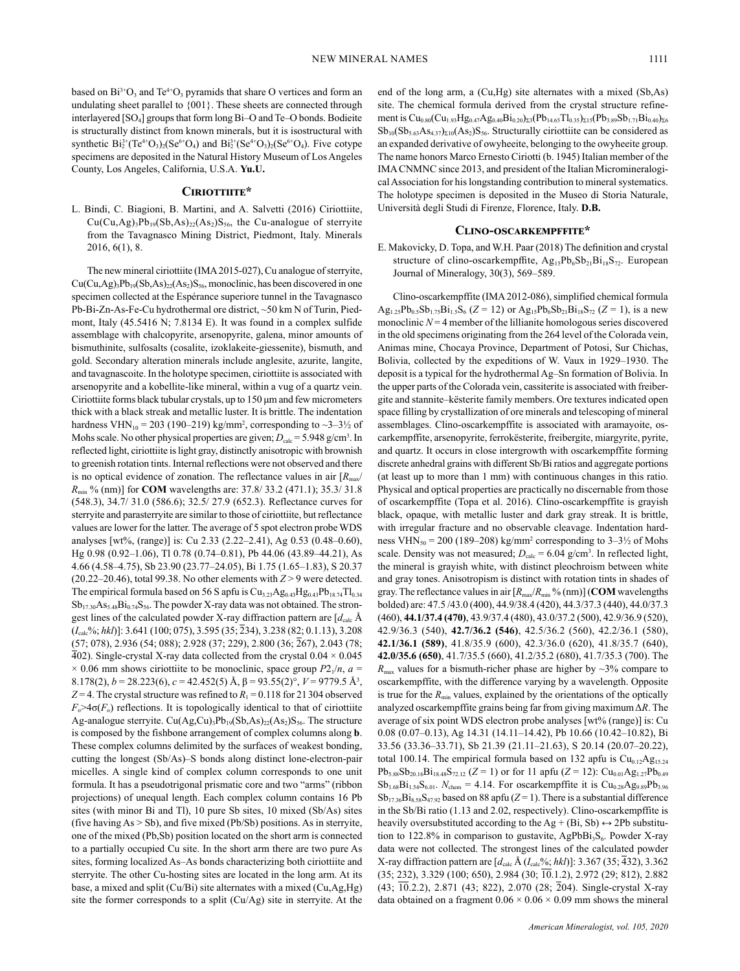based on  $Bi^{3+}O_3$  and  $Te^{4+}O_3$  pyramids that share O vertices and form an undulating sheet parallel to {001}. These sheets are connected through interlayered [SO4] groups that form long Bi–O and Te–O bonds. Bodieite is structurally distinct from known minerals, but it is isostructural with synthetic  $Bi_2^{3+}(Te^{4+}O_3)_2(Se^{6+}O_4)$  and  $Bi_2^{3+}(Se^{4+}O_3)_2(Se^{6+}O_4)$ . Five cotype specimens are deposited in the Natural History Museum of Los Angeles County, Los Angeles, California, U.S.A. **Yu.U.**

# **Ciriottiite\***

L. Bindi, C. Biagioni, B. Martini, and A. Salvetti (2016) Ciriottiite,  $Cu(Cu, Ag)_{3}Pb_{19}(Sb, As)_{22}(As_{2})S_{56}$ , the Cu-analogue of sterryite from the Tavagnasco Mining District, Piedmont, Italy. Minerals 2016, 6(1), 8.

The new mineral ciriottiite (IMA 2015-027), Cu analogue of sterryite,  $Cu(Cu, Ag)_{3}Pb_{19}(Sb, As)_{22}(As_{2})S_{56}$ , monoclinic, has been discovered in one specimen collected at the Espérance superiore tunnel in the Tavagnasco Pb-Bi-Zn-As-Fe-Cu hydrothermal ore district, ~50 km N of Turin, Piedmont, Italy (45.5416 N; 7.8134 E). It was found in a complex sulfide assemblage with chalcopyrite, arsenopyrite, galena, minor amounts of bismuthinite, sulfosalts (cosalite, izoklakeite-giessenite), bismuth, and gold. Secondary alteration minerals include anglesite, azurite, langite, and tavagnascoite. In the holotype specimen, ciriottiite is associated with arsenopyrite and a kobellite-like mineral, within a vug of a quartz vein. Ciriottiite forms black tubular crystals, up to 150 μm and few micrometers thick with a black streak and metallic luster. It is brittle. The indentation hardness VHN<sub>10</sub> = 203 (190–219) kg/mm<sup>2</sup>, corresponding to  $\sim$ 3–3½ of Mohs scale. No other physical properties are given;  $D_{\text{calc}} = 5.948 \text{ g/cm}^3$ . In reflected light, ciriottiite is light gray, distinctly anisotropic with brownish to greenish rotation tints. Internal reflections were not observed and there is no optical evidence of zonation. The reflectance values in air  $[R<sub>m</sub>]$ *R*min % (nm)] for **COM** wavelengths are: 37.8/ 33.2 (471.1); 35.3/ 31.8 (548.3), 34.7/ 31.0 (586.6); 32.5/ 27.9 (652.3). Reflectance curves for sterryite and parasterryite are similar to those of ciriottiite, but reflectance values are lower for the latter. The average of 5 spot electron probe WDS analyses [wt%, (range)] is: Cu 2.33 (2.22–2.41), Ag 0.53 (0.48–0.60), Hg 0.98 (0.92–1.06), Tl 0.78 (0.74–0.81), Pb 44.06 (43.89–44.21), As 4.66 (4.58–4.75), Sb 23.90 (23.77–24.05), Bi 1.75 (1.65–1.83), S 20.37  $(20.22-20.46)$ , total 99.38. No other elements with  $Z > 9$  were detected. The empirical formula based on 56 S apfu is  $Cu<sub>3.23</sub>Ag<sub>0.43</sub>Hg<sub>0.43</sub>Pb<sub>18.74</sub>Tl<sub>0.34</sub>$  $Sb_{17,30}As_{5,48}Bi_{0,74}S_{56}$ . The powder X-ray data was not obtained. The strongest lines of the calculated powder X-ray diffraction pattern are  $\left[d_{\text{calc}}\right]$  Å (*I*calc%; *hkl*)]: 3.641 (100; 075), 3.595 (35; 234), 3.238 (82; 0.1.13), 3.208 (57; 078), 2.936 (54; 088); 2.928 (37; 229), 2.800 (36; 267), 2.043 (78; 402). Single-crystal X-ray data collected from the crystal  $0.04 \times 0.045$  $\times$  0.06 mm shows ciriottiite to be monoclinic, space group  $P2_1/n$ ,  $a =$ 8.178(2), *b* = 28.223(6), *c* = 42.452(5) Å, β = 93.55(2)°, *V* = 9779.5 Å3 , *Z* = 4. The crystal structure was refined to  $R_1$  = 0.118 for 21304 observed  $F_{\circ}$ >4 $\sigma(F_{\circ})$  reflections. It is topologically identical to that of ciriottiite Ag-analogue sterryite. Cu(Ag,Cu)<sub>3</sub>Pb<sub>19</sub>(Sb,As)<sub>22</sub>(As<sub>2</sub>)S<sub>56</sub>. The structure is composed by the fishbone arrangement of complex columns along **b**. These complex columns delimited by the surfaces of weakest bonding, cutting the longest (Sb/As)–S bonds along distinct lone-electron-pair micelles. A single kind of complex column corresponds to one unit formula. It has a pseudotrigonal prismatic core and two "arms" (ribbon projections) of unequal length. Each complex column contains 16 Pb sites (with minor Bi and Tl), 10 pure Sb sites, 10 mixed (Sb/As) sites (five having As > Sb), and five mixed (Pb/Sb) positions. As in sterryite, one of the mixed (Pb,Sb) position located on the short arm is connected to a partially occupied Cu site. In the short arm there are two pure As sites, forming localized As–As bonds characterizing both ciriottiite and sterryite. The other Cu-hosting sites are located in the long arm. At its base, a mixed and split (Cu/Bi) site alternates with a mixed (Cu,Ag,Hg) site the former corresponds to a split (Cu/Ag) site in sterryite. At the

end of the long arm, a (Cu,Hg) site alternates with a mixed (Sb,As) site. The chemical formula derived from the crystal structure refinement is  $Cu_{0.80}(Cu_{1.93}Hg_{0.47}Ag_{0.40}Bi_{0.20})_{\Sigma 3}(Pb_{14.65}Ti_{0.35})_{\Sigma 15}(Pb_{3.89}Sb_{1.71}Bi_{0.40})_{\Sigma 6}$  $Sb_{10}(Sb_{5,63}As_{4,37})_{\Sigma10}(As_2)S_{56}$ . Structurally ciriottiite can be considered as an expanded derivative of owyheeite, belonging to the owyheeite group. The name honors Marco Ernesto Ciriotti (b. 1945) Italian member of the IMA CNMNC since 2013, and president of the Italian Micromineralogical Association for his longstanding contribution to mineral systematics. The holotype specimen is deposited in the Museo di Storia Naturale, Università degli Studi di Firenze, Florence, Italy. **D.B.**

# **Clino-oscarkempffite\***

E. Makovicky, D. Topa, and W.H. Paar (2018) The definition and crystal structure of clino-oscarkempffite,  $Ag_{15}Pb_6Sb_{21}Bi_{18}S_{72}$ . European Journal of Mineralogy, 30(3), 569–589.

Clino-oscarkempffite (IMA 2012-086), simplified chemical formula  $Ag_{1.25}Pb_{0.5}Sb_{1.75}Bi_{1.5}S_6$  (*Z* = 12) or  $Ag_{15}Pb_6Sb_{21}Bi_{18}S_{72}$  (*Z* = 1), is a new monoclinic  $N = 4$  member of the lillianite homologous series discovered in the old specimens originating from the 264 level of the Colorada vein, Animas mine, Chocaya Province, Department of Potosi, Sur Chichas, Bolivia, collected by the expeditions of W. Vaux in 1929–1930. The deposit is a typical for the hydrothermal Ag–Sn formation of Bolivia. In the upper parts of the Colorada vein, cassiterite is associated with freibergite and stannite–kësterite family members. Ore textures indicated open space filling by crystallization of ore minerals and telescoping of mineral assemblages. Clino-oscarkempffite is associated with aramayoite, oscarkempffite, arsenopyrite, ferrokësterite, freibergite, miargyrite, pyrite, and quartz. It occurs in close intergrowth with oscarkempffite forming discrete anhedral grains with different Sb/Bi ratios and aggregate portions (at least up to more than 1 mm) with continuous changes in this ratio. Physical and optical properties are practically no discernable from those of oscarkempffite (Topa et al. 2016). Clino-oscarkempffite is grayish black, opaque, with metallic luster and dark gray streak. It is brittle, with irregular fracture and no observable cleavage. Indentation hardness VHN<sub>50</sub> = 200 (189–208) kg/mm<sup>2</sup> corresponding to  $3-3\frac{1}{2}$  of Mohs scale. Density was not measured;  $D_{\text{calc}} = 6.04$  g/cm<sup>3</sup>. In reflected light, the mineral is grayish white, with distinct pleochroism between white and gray tones. Anisotropism is distinct with rotation tints in shades of gray. The reflectance values in air  $[R_{\text{max}}/R_{\text{min}}\%$  (nm)] (**COM** wavelengths bolded) are: 47.5 /43.0 (400), 44.9/38.4 (420), 44.3/37.3 (440), 44.0/37.3 (460), **44.1/37.4 (470)**, 43.9/37.4 (480), 43.0/37.2 (500), 42.9/36.9 (520), 42.9/36.3 (540), **42.7/36.2 (546)**, 42.5/36.2 (560), 42.2/36.1 (580), **42.1/36.1 (589)**, 41.8/35.9 (600), 42.3/36.0 (620), 41.8/35.7 (640), **42.0/35.6 (650)**, 41.7/35.5 (660), 41.2/35.2 (680), 41.7/35.3 (700). The  $R_{\text{max}}$  values for a bismuth-richer phase are higher by  $\sim$ 3% compare to oscarkempffite, with the difference varying by a wavelength. Opposite is true for the  $R_{\text{min}}$  values, explained by the orientations of the optically analyzed oscarkempffite grains being far from giving maximum Δ*R*. The average of six point WDS electron probe analyses [wt% (range)] is: Cu 0.08 (0.07–0.13), Ag 14.31 (14.11–14.42), Pb 10.66 (10.42–10.82), Bi 33.56 (33.36–33.71), Sb 21.39 (21.11–21.63), S 20.14 (20.07–20.22), total 100.14. The empirical formula based on 132 apfu is  $Cu<sub>0.12</sub>Ag<sub>15.24</sub>$  $Pb_{5.88}Sb_{20.16}Bi_{18.48}S_{72.12}$  (*Z* = 1) or for 11 apfu (*Z* = 12): Cu<sub>0.01</sub>Ag<sub>1.27</sub>Pb<sub>0.49</sub>  $Sb_{1.68}Bi_{1.54}S_{6.01}$ .  $N_{chem} = 4.14$ . For oscarkempffite it is  $Cu_{0.28}Ag_{9.89}Pb_{3.96}$  $Sb_{17.36}Bi_{8.58}S_{47.92}$  based on 88 apfu (*Z* = 1). There is a substantial difference in the Sb/Bi ratio (1.13 and 2.02, respectively). Clino-oscarkempffite is heavily oversubstituted according to the Ag + (Bi, Sb)  $\leftrightarrow$  2Pb substitution to 122.8% in comparison to gustavite,  $AgPbBi<sub>3</sub>S<sub>6</sub>$ . Powder X-ray data were not collected. The strongest lines of the calculated powder X-ray diffraction pattern are  $[d_{\text{calc}} \text{Å} (I_{\text{calc}} \text{%}; \text{hkl})]$ : 3.367 (35; 432), 3.362 (35; 232), 3.329 (100; 650), 2.984 (30; 10.1.2), 2.972 (29; 812), 2.882 (43; 10.2.2), 2.871 (43; 822), 2.070 (28; 204). Single-crystal X-ray data obtained on a fragment  $0.06 \times 0.06 \times 0.09$  mm shows the mineral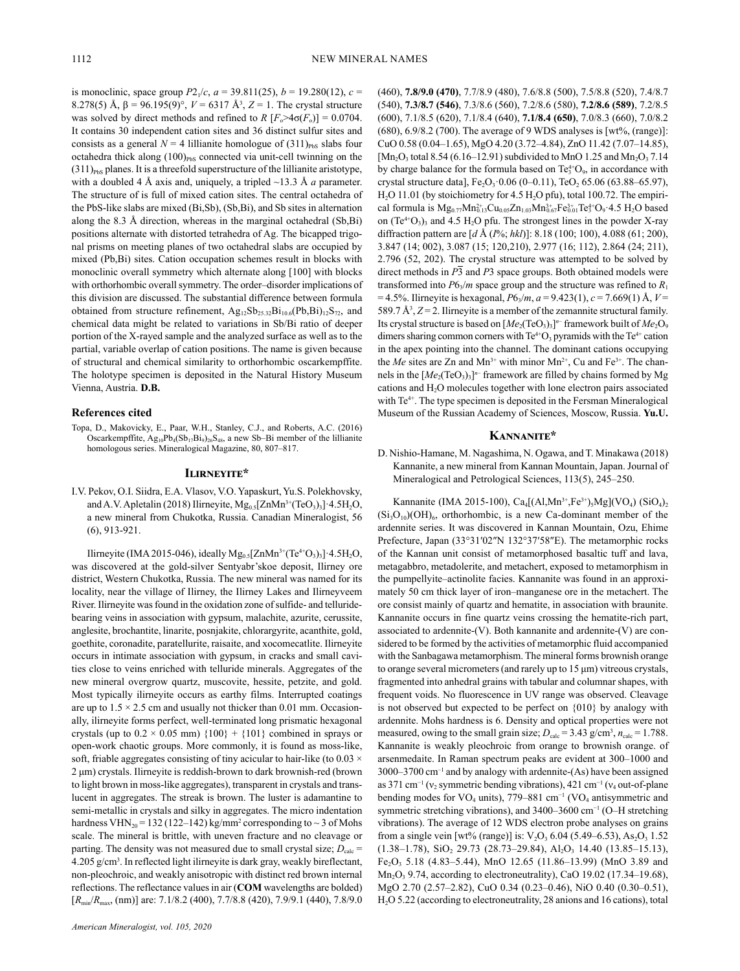is monoclinic, space group  $P2_1/c$ ,  $a = 39.811(25)$ ,  $b = 19.280(12)$ ,  $c =$ 8.278(5) Å, β = 96.195(9)°, *V* = 6317 Å3 , *Z* = 1. The crystal structure was solved by direct methods and refined to  $R$   $[F_0 > 4\sigma(F_0)] = 0.0704$ . It contains 30 independent cation sites and 36 distinct sulfur sites and consists as a general  $N = 4$  lillianite homologue of  $(311)_{\text{PbS}}$  slabs four octahedra thick along  $(100)_{PbS}$  connected via unit-cell twinning on the  $(311)_{PbS}$  planes. It is a threefold superstructure of the lillianite aristotype, with a doubled 4 Å axis and, uniquely, a tripled ~13.3 Å *a* parameter. The structure of is full of mixed cation sites. The central octahedra of the PbS-like slabs are mixed (Bi,Sb), (Sb,Bi), and Sb sites in alternation along the 8.3 Å direction, whereas in the marginal octahedral (Sb,Bi) positions alternate with distorted tetrahedra of Ag. The bicapped trigonal prisms on meeting planes of two octahedral slabs are occupied by mixed (Pb,Bi) sites. Cation occupation schemes result in blocks with monoclinic overall symmetry which alternate along [100] with blocks with orthorhombic overall symmetry. The order–disorder implications of this division are discussed. The substantial difference between formula obtained from structure refinement,  $Ag_{12}Sb_{25,32}Bi_{10,6}(Pb,Bi)_{12}S_{72}$ , and chemical data might be related to variations in Sb/Bi ratio of deeper portion of the X-rayed sample and the analyzed surface as well as to the partial, variable overlap of cation positions. The name is given because of structural and chemical similarity to orthorhombic oscarkempffite. The holotype specimen is deposited in the Natural History Museum Vienna, Austria. **D.B.**

#### **References cited**

Topa, D., Makovicky, E., Paar, W.H., Stanley, C.J., and Roberts, A.C. (2016) Oscarkempffite,  $Ag_{10}Pb_4(Sb_{17}Bi_9)_{26}S_{48}$ , a new Sb-Bi member of the lillianite homologous series. Mineralogical Magazine, 80, 807–817.

#### **Ilirneyite\***

I.V. Pekov, O.I. Siidra, E.A. Vlasov, V.O. Yapaskurt, Yu.S. Polekhovsky, and A.V. Apletalin (2018) Ilirneyite,  $Mg_{0.5}[ZnMn^{3+}(TeO_3)_3] \cdot 4.5H_2O$ , a new mineral from Chukotka, Russia. Canadian Mineralogist, 56 (6), 913-921.

Ilirneyite (IMA 2015-046), ideally  $Mg_{0.5}[ZnMn^{3+}(Te^{4+}O_3)_3] \cdot 4.5H_2O$ , was discovered at the gold-silver Sentyabr'skoe deposit, Ilirney ore district, Western Chukotka, Russia. The new mineral was named for its locality, near the village of Ilirney, the Ilirney Lakes and Ilirneyveem River. Ilirneyite was found in the oxidation zone of sulfide- and telluridebearing veins in association with gypsum, malachite, azurite, cerussite, anglesite, brochantite, linarite, posnjakite, chlorargyrite, acanthite, gold, goethite, coronadite, paratellurite, raisaite, and xocomecatlite. Ilirneyite occurs in intimate association with gypsum, in cracks and small cavities close to veins enriched with telluride minerals. Aggregates of the new mineral overgrow quartz, muscovite, hessite, petzite, and gold. Most typically ilirneyite occurs as earthy films. Interrupted coatings are up to  $1.5 \times 2.5$  cm and usually not thicker than 0.01 mm. Occasionally, ilirneyite forms perfect, well-terminated long prismatic hexagonal crystals (up to  $0.2 \times 0.05$  mm)  $\{100\} + \{101\}$  combined in sprays or open-work chaotic groups. More commonly, it is found as moss-like, soft, friable aggregates consisting of tiny acicular to hair-like (to  $0.03 \times$ 2 μm) crystals. Ilirneyite is reddish-brown to dark brownish-red (brown to light brown in moss-like aggregates), transparent in crystals and translucent in aggregates. The streak is brown. The luster is adamantine to semi-metallic in crystals and silky in aggregates. The micro indentation hardness  $VHN_{20} = 132 (122-142)$  kg/mm<sup>2</sup> corresponding to  $\sim$  3 of Mohs scale. The mineral is brittle, with uneven fracture and no cleavage or parting. The density was not measured due to small crystal size;  $D_{\text{calc}} =$ 4.205 g/cm3 . In reflected light ilirneyite is dark gray, weakly bireflectant, non-pleochroic, and weakly anisotropic with distinct red brown internal reflections. The reflectance values in air (**COM** wavelengths are bolded) [ $R_{\text{min}}/R_{\text{max}}$ , (nm)] are: 7.1/8.2 (400), 7.7/8.8 (420), 7.9/9.1 (440), 7.8/9.0

(460), **7.8/9.0 (470)**, 7.7/8.9 (480), 7.6/8.8 (500), 7.5/8.8 (520), 7.4/8.7 (540), **7.3/8.7 (546)**, 7.3/8.6 (560), 7.2/8.6 (580), **7.2/8.6 (589)**, 7.2/8.5 (600), 7.1/8.5 (620), 7.1/8.4 (640), **7.1/8.4 (650)**, 7.0/8.3 (660), 7.0/8.2 (680), 6.9/8.2 (700). The average of 9 WDS analyses is [wt%, (range)]: CuO 0.58 (0.04–1.65), MgO 4.20 (3.72–4.84), ZnO 11.42 (7.07–14.85),  $[Mn_2O_3 \text{ total } 8.54 (6.16–12.91) \text{ subdivided to MnO } 1.25 \text{ and Mn}_2O_3 7.14$ by charge balance for the formula based on  $Te_3^{\{+}}O_9$ , in accordance with crystal structure data],  $Fe<sub>2</sub>O<sub>3</sub>·0.06$  (0-0.11), TeO<sub>2</sub> 65.06 (63.88-65.97),  $H<sub>2</sub>O$  11.01 (by stoichiometry for 4.5  $H<sub>2</sub>O$  pfu), total 100.72. The empirical formula is  $Mg_{0.77}Mn_{0.13}^{2+}Cu_{0.05}Zn_{1.03}Mn_{0.67}^{3+}Fe_{0.01}^{3+}Te_3^{4+}O_9 \cdot 4.5 \text{ H}_2\text{O}$  based on  $(Te^{4+}O_3)$ <sub>3</sub> and 4.5 H<sub>2</sub>O pfu. The strongest lines in the powder X-ray diffraction pattern are [*d* Å (*I*%; *hkl*)]: 8.18 (100; 100), 4.088 (61; 200), 3.847 (14; 002), 3.087 (15; 120,210), 2.977 (16; 112), 2.864 (24; 211), 2.796 (52, 202). The crystal structure was attempted to be solved by direct methods in *P*3 and *P*3 space groups. Both obtained models were transformed into  $P6_3/m$  space group and the structure was refined to  $R_1$  $= 4.5\%$ . Ilirneyite is hexagonal,  $P6\sqrt{n}$ ,  $a = 9.423(1)$ ,  $c = 7.669(1)$  Å,  $V =$ 589.7  $\mathring{A}^3$ ,  $Z = 2$ . Ilirneyite is a member of the zemannite structural family. Its crystal structure is based on  $[M_{{e_2}}({{\rm TeO}_3})_3]^n$  framework built of  $M_{{e_2O}_9}$ dimers sharing common corners with  $Te^{4+}O_3$  pyramids with the  $Te^{4+}$  cation in the apex pointing into the channel. The dominant cations occupying the *Me* sites are Zn and  $Mn^{3+}$  with minor  $Mn^{2+}$ , Cu and Fe<sup>3+</sup>. The channels in the  $[Me<sub>2</sub>(TeO<sub>3</sub>)<sub>3</sub>]$ <sup>*n*</sup> framework are filled by chains formed by Mg cations and H2O molecules together with lone electron pairs associated with Te<sup>4+</sup>. The type specimen is deposited in the Fersman Mineralogical Museum of the Russian Academy of Sciences, Moscow, Russia. **Yu.U.**

# **Kannanite\***

D. Nishio-Hamane, M. Nagashima, N. Ogawa, and T. Minakawa (2018) Kannanite, a new mineral from Kannan Mountain, Japan. Journal of Mineralogical and Petrological Sciences, 113(5), 245–250.

Kannanite (IMA 2015-100), Ca<sub>4</sub>[(Al,Mn<sup>3+</sup>,Fe<sup>3+</sup>)<sub>5</sub>Mg](VO<sub>4</sub>) (SiO<sub>4</sub>)<sub>2</sub>  $(Si<sub>3</sub>O<sub>10</sub>)(OH)<sub>6</sub>$ , orthorhombic, is a new Ca-dominant member of the ardennite series. It was discovered in Kannan Mountain, Ozu, Ehime Prefecture, Japan (33°31′02″N 132°37′58″E). The metamorphic rocks of the Kannan unit consist of metamorphosed basaltic tuff and lava, metagabbro, metadolerite, and metachert, exposed to metamorphism in the pumpellyite–actinolite facies. Kannanite was found in an approximately 50 cm thick layer of iron–manganese ore in the metachert. The ore consist mainly of quartz and hematite, in association with braunite. Kannanite occurs in fine quartz veins crossing the hematite-rich part, associated to ardennite-(V). Both kannanite and ardennite-(V) are considered to be formed by the activities of metamorphic fluid accompanied with the Sanbagawa metamorphism. The mineral forms brownish orange to orange several micrometers (and rarely up to 15 μm) vitreous crystals, fragmented into anhedral grains with tabular and columnar shapes, with frequent voids. No fluorescence in UV range was observed. Cleavage is not observed but expected to be perfect on {010} by analogy with ardennite. Mohs hardness is 6. Density and optical properties were not measured, owing to the small grain size;  $D_{\text{calc}} = 3.43 \text{ g/cm}^3$ ,  $n_{\text{calc}} = 1.788$ . Kannanite is weakly pleochroic from orange to brownish orange. of arsenmedaite. In Raman spectrum peaks are evident at 300–1000 and  $3000-3700$  cm<sup>-1</sup> and by analogy with ardennite- $(As)$  have been assigned as 371 cm<sup>-1</sup> ( $v_2$  symmetric bending vibrations), 421 cm<sup>-1</sup> ( $v_4$  out-of-plane bending modes for VO<sub>4</sub> units), 779–881 cm<sup>-1</sup> (VO<sub>4</sub> antisymmetric and symmetric stretching vibrations), and 3400–3600 cm<sup>-1</sup> (O–H stretching vibrations). The average of 12 WDS electron probe analyses on grains from a single vein [wt% (range)] is:  $V_2O_3$  6.04 (5.49–6.53), As<sub>2</sub>O<sub>3</sub> 1.52  $(1.38-1.78)$ , SiO<sub>2</sub> 29.73 (28.73-29.84), Al<sub>2</sub>O<sub>3</sub> 14.40 (13.85-15.13), Fe2O3 5.18 (4.83–5.44), MnO 12.65 (11.86–13.99) (MnO 3.89 and Mn<sub>2</sub>O<sub>3</sub> 9.74, according to electroneutrality), CaO 19.02 (17.34-19.68), MgO 2.70 (2.57–2.82), CuO 0.34 (0.23–0.46), NiO 0.40 (0.30–0.51), H2O 5.22 (according to electroneutrality, 28 anions and 16 cations), total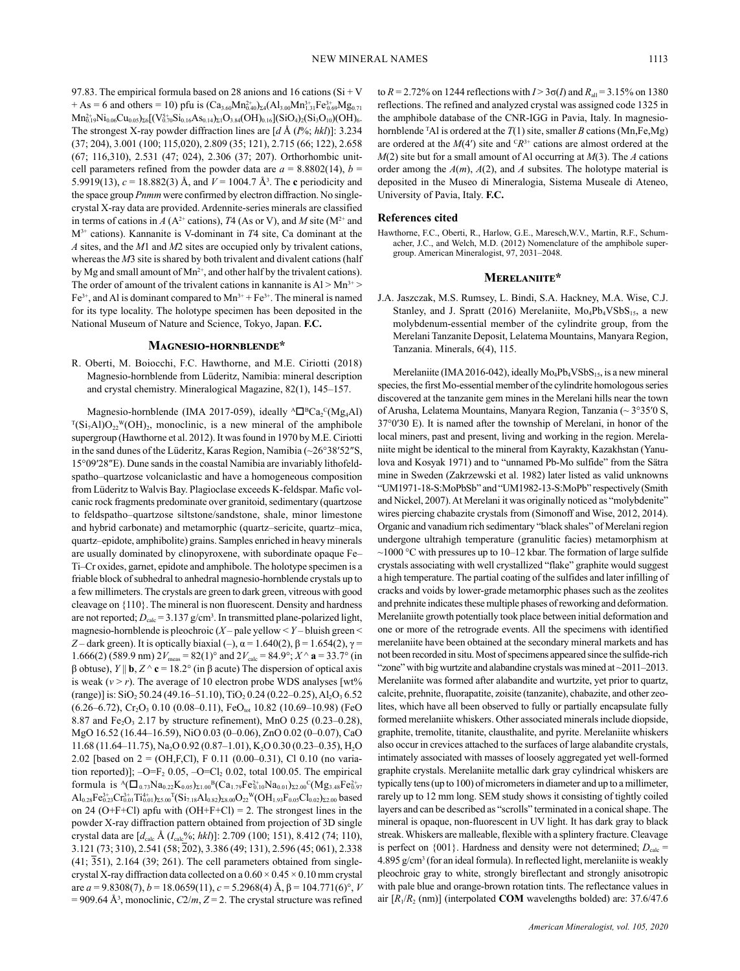97.83. The empirical formula based on 28 anions and 16 cations ( $Si + V$ + As = 6 and others = 10) pfu is  $(Ca_{3.60}Mn_{0.40}^{2+})_{24}(Al_{3.00}Mn_{1.31}^{3+}Fe_{0.69}^{3+}Mg_{0.71}^{3}$  $\text{Mn}^{2+}_{0.19}\text{Ni}_{0.06}\text{Cu}_{0.05}\text{)}_{\Sigma 6}[(\text{V}^{5+}_{0.70}\text{Si}_{0.16}\text{As}_{0.14})_{\Sigma 1}\text{O}_{3.84}(\text{OH})_{0.16}](\text{SiO}_4)_{2}(\text{Si}_3\text{O}_{10})(\text{OH})_{6}.$ The strongest X-ray powder diffraction lines are [*d* Å (*I*%; *hkl*)]: 3.234 (37; 204), 3.001 (100; 115,020), 2.809 (35; 121), 2.715 (66; 122), 2.658 (67; 116,310), 2.531 (47; 024), 2.306 (37; 207). Orthorhombic unitcell parameters refined from the powder data are  $a = 8.8802(14)$ ,  $b =$ 5.9919(13),  $c = 18.882(3)$  Å, and  $V = 1004.7$  Å<sup>3</sup>. The **c** periodicity and the space group *Pnmm* were confirmed by electron diffraction. No singlecrystal X-ray data are provided. Ardennite-series minerals are classified in terms of cations in *A* ( $A^{2+}$  cations), *T*4 (As or V), and *M* site ( $M^{2+}$  and M3+ cations). Kannanite is V-dominant in *T*4 site, Ca dominant at the *A* sites, and the *M*1 and *M*2 sites are occupied only by trivalent cations, whereas the *M*3 site is shared by both trivalent and divalent cations (half by Mg and small amount of  $Mn^{2+}$ , and other half by the trivalent cations). The order of amount of the trivalent cations in kannanite is  $Al > Mn^{3+} >$  $Fe<sup>3+</sup>$ , and Al is dominant compared to  $Mn<sup>3+</sup> + Fe<sup>3+</sup>$ . The mineral is named for its type locality. The holotype specimen has been deposited in the National Museum of Nature and Science, Tokyo, Japan. **F.C.**

# **Magnesio-hornblende\***

R. Oberti, M. Boiocchi, F.C. Hawthorne, and M.E. Ciriotti (2018) Magnesio-hornblende from Lüderitz, Namibia: mineral description and crystal chemistry. Mineralogical Magazine, 82(1), 145–157.

Magnesio-hornblende (IMA 2017-059), ideally  ${}^{\text{A}}\Box {}^{\text{B}}\text{Ca}_2{}^{\text{C}}(\text{Mg}_4\text{Al})$  $T(Si<sub>7</sub>AI)O<sub>22</sub>W(OH)<sub>2</sub>$ , monoclinic, is a new mineral of the amphibole supergroup (Hawthorne et al. 2012). It was found in 1970 by M.E. Ciriotti in the sand dunes of the Lüderitz, Karas Region, Namibia (~26°38′52″S, 15°09′28″E). Dune sands in the coastal Namibia are invariably lithofeldspatho–quartzose volcaniclastic and have a homogeneous composition from Lüderitz to Walvis Bay. Plagioclase exceeds K-feldspar. Mafic volcanic rock fragments predominate over granitoid, sedimentary (quartzose to feldspatho–quartzose siltstone/sandstone, shale, minor limestone and hybrid carbonate) and metamorphic (quartz–sericite, quartz–mica, quartz–epidote, amphibolite) grains. Samples enriched in heavy minerals are usually dominated by clinopyroxene, with subordinate opaque Fe– Ti–Cr oxides, garnet, epidote and amphibole. The holotype specimen is a friable block of subhedral to anhedral magnesio-hornblende crystals up to a few millimeters. The crystals are green to dark green, vitreous with good cleavage on {110}. The mineral is non fluorescent. Density and hardness are not reported;  $D_{\text{calc}} = 3.137 \text{ g/cm}^3$ . In transmitted plane-polarized light, magnesio-hornblende is pleochroic (*X* – pale yellow < *Y* – bluish green < *Z* – dark green). It is optically biaxial (–),  $\alpha$  = 1.640(2),  $\beta$  = 1.654(2),  $\gamma$  = 1.666(2) (589.9 nm)  $2V_{\text{meas}} = 82(1)^\circ$  and  $2V_{\text{calc}} = 84.9^\circ$ ;  $X^\wedge$  **a** = 33.7° (in β obtuse), *Y* || **b**, *Z* ^ **c** = 18.2° (in β acute) The dispersion of optical axis is weak  $(v > r)$ . The average of 10 electron probe WDS analyses [wt<sup>%</sup>  $(\text{range})$ ] is: SiO<sub>2</sub> 50.24 (49.16–51.10), TiO<sub>2</sub> 0.24 (0.22–0.25), Al<sub>2</sub>O<sub>3</sub> 6.52  $(6.26-6.72)$ , Cr<sub>2</sub>O<sub>3</sub> 0.10 (0.08-0.11), FeO<sub>tot</sub> 10.82 (10.69-10.98) (FeO 8.87 and Fe<sub>2</sub>O<sub>3</sub> 2.17 by structure refinement), MnO  $0.25$  (0.23–0.28), MgO 16.52 (16.44–16.59), NiO 0.03 (0–0.06), ZnO 0.02 (0–0.07), CaO 11.68 (11.64–11.75), Na<sub>2</sub>O 0.92 (0.87–1.01), K<sub>2</sub>O 0.30 (0.23–0.35), H<sub>2</sub>O 2.02 [based on  $2 = (OH, F, Cl)$ , F 0.11 (0.00–0.31), Cl 0.10 (no variation reported)];  $-O=F_2 0.05$ ,  $-O=Cl_2 0.02$ , total 100.05. The empirical formula is  ${}^{\text{A}}(\square_{0.73} \text{Na}_{0.22} \text{K}_{0.05})_{\Sigma1.00} {}^{\text{B}}(\text{Ca}_{1.79}\text{Fe}_{0.10}^{2+} \text{Na}_{0.01})_{\Sigma2.00} {}^{\text{C}}(\text{Mg}_{3.48}\text{Fe}_{0.97}^{2+})$  $\mathrm{Al}_{0.28}\mathrm{Fe}_{0.23}^{3+}\mathrm{Cr}_{0.01}^{3+}\mathrm{Ti}_{0.01}^{4+}\mathrm{)_\Sigma_{5.00}}^{7}(\mathrm{Si}_{7.18}\mathrm{Al}_{0.82})_{\Sigma 8.00}\mathrm{O}_{22}^{\mathrm{W}}(\mathrm{OH}_{1.93}\mathrm{F}_{0.05}\mathrm{Cl}_{0.02})_{\Sigma 2.00}$  based on 24 (O+F+Cl) apfu with (OH+F+Cl) = 2. The strongest lines in the powder X‑ray diffraction pattern obtained from projection of 3D single crystal data are  $[d_{\text{calc}} \text{ Å } (I_{\text{calc}}\%; hkl)]$ : 2.709 (100; 151), 8.412 (74; 110), 3.121 (73; 310), 2.541 (58; 202), 3.386 (49; 131), 2.596 (45; 061), 2.338 (41; 351), 2.164 (39; 261). The cell parameters obtained from singlecrystal X-ray diffraction data collected on a  $0.60 \times 0.45 \times 0.10$  mm crystal are *a* = 9.8308(7), *b* = 18.0659(11), *c* = 5.2968(4) Å, β = 104.771(6)°, *V*  $= 909.64 \text{ Å}^3$ , monoclinic,  $C2/m$ ,  $Z = 2$ . The crystal structure was refined to  $R = 2.72\%$  on 1244 reflections with  $I > 3\sigma(I)$  and  $R_{all} = 3.15\%$  on 1380 reflections. The refined and analyzed crystal was assigned code 1325 in the amphibole database of the CNR-IGG in Pavia, Italy. In magnesiohornblende T Al is ordered at the *T*(1) site, smaller *B* cations (Mn,Fe,Mg) are ordered at the  $M(4')$  site and <sup>C</sup> $R^{3+}$  cations are almost ordered at the *M*(2) site but for a small amount of Al occurring at *M*(3). The *A* cations order among the *A*(*m*), *A*(2), and *A* subsites. The holotype material is deposited in the Museo di Mineralogia, Sistema Museale di Ateneo, University of Pavia, Italy. **F.C.**

# **References cited**

Hawthorne, F.C., Oberti, R., Harlow, G.E., Maresch,W.V., Martin, R.F., Schumacher, J.C., and Welch, M.D. (2012) Nomenclature of the amphibole supergroup. American Mineralogist, 97, 2031–2048.

# **Merelaniite\***

J.A. Jaszczak, M.S. Rumsey, L. Bindi, S.A. Hackney, M.A. Wise, C.J. Stanley, and J. Spratt (2016) Merelaniite,  $Mo_4Pb_4VSbS_{15}$ , a new molybdenum-essential member of the cylindrite group, from the Merelani Tanzanite Deposit, Lelatema Mountains, Manyara Region, Tanzania. Minerals, 6(4), 115.

Merelaniite (IMA 2016-042), ideally  $Mo_4Pb_4VSbS_{15}$ , is a new mineral species, the first Mo-essential member of the cylindrite homologous series discovered at the tanzanite gem mines in the Merelani hills near the town of Arusha, Lelatema Mountains, Manyara Region, Tanzania (~ 3°35ʹ0 S, 37°0ʹ30 E). It is named after the township of Merelani, in honor of the local miners, past and present, living and working in the region. Merelaniite might be identical to the mineral from Kayrakty, Kazakhstan (Yanulova and Kosyak 1971) and to "unnamed Pb-Mo sulfide" from the Sätra mine in Sweden (Zakrzewski et al. 1982) later listed as valid unknowns "UM1971-18-S:MoPbSb" and "UM1982-13-S:MoPb" respectively (Smith and Nickel, 2007). At Merelani it was originally noticed as "molybdenite" wires piercing chabazite crystals from (Simonoff and Wise, 2012, 2014). Organic and vanadium rich sedimentary "black shales" of Merelani region undergone ultrahigh temperature (granulitic facies) metamorphism at  $\sim$ 1000 °C with pressures up to 10–12 kbar. The formation of large sulfide crystals associating with well crystallized "flake" graphite would suggest a high temperature. The partial coating of the sulfides and later infilling of cracks and voids by lower-grade metamorphic phases such as the zeolites and prehnite indicates these multiple phases of reworking and deformation. Merelaniite growth potentially took place between initial deformation and one or more of the retrograde events. All the specimens with identified merelaniite have been obtained at the secondary mineral markets and has not been recorded in situ. Most of specimens appeared since the sulfide-rich "zone" with big wurtzite and alabandine crystals was mined at ~2011–2013. Merelaniite was formed after alabandite and wurtzite, yet prior to quartz, calcite, prehnite, fluorapatite, zoisite (tanzanite), chabazite, and other zeolites, which have all been observed to fully or partially encapsulate fully formed merelaniite whiskers. Other associated minerals include diopside, graphite, tremolite, titanite, clausthalite, and pyrite. Merelaniite whiskers also occur in crevices attached to the surfaces of large alabandite crystals, intimately associated with masses of loosely aggregated yet well-formed graphite crystals. Merelaniite metallic dark gray cylindrical whiskers are typically tens (up to 100) of micrometers in diameter and up to a millimeter, rarely up to 12 mm long. SEM study shows it consisting of tightly coiled layers and can be described as "scrolls" terminated in a conical shape. The mineral is opaque, non-fluorescent in UV light. It has dark gray to black streak. Whiskers are malleable, flexible with a splintery fracture. Cleavage is perfect on  $\{001\}$ . Hardness and density were not determined;  $D_{\text{calc}} =$ 4.895 g/cm3 (for an ideal formula). In reflected light, merelaniite is weakly pleochroic gray to white, strongly bireflectant and strongly anisotropic with pale blue and orange-brown rotation tints. The reflectance values in air [*R*1/*R*2 (nm)] (interpolated **COM** wavelengths bolded) are: 37.6/47.6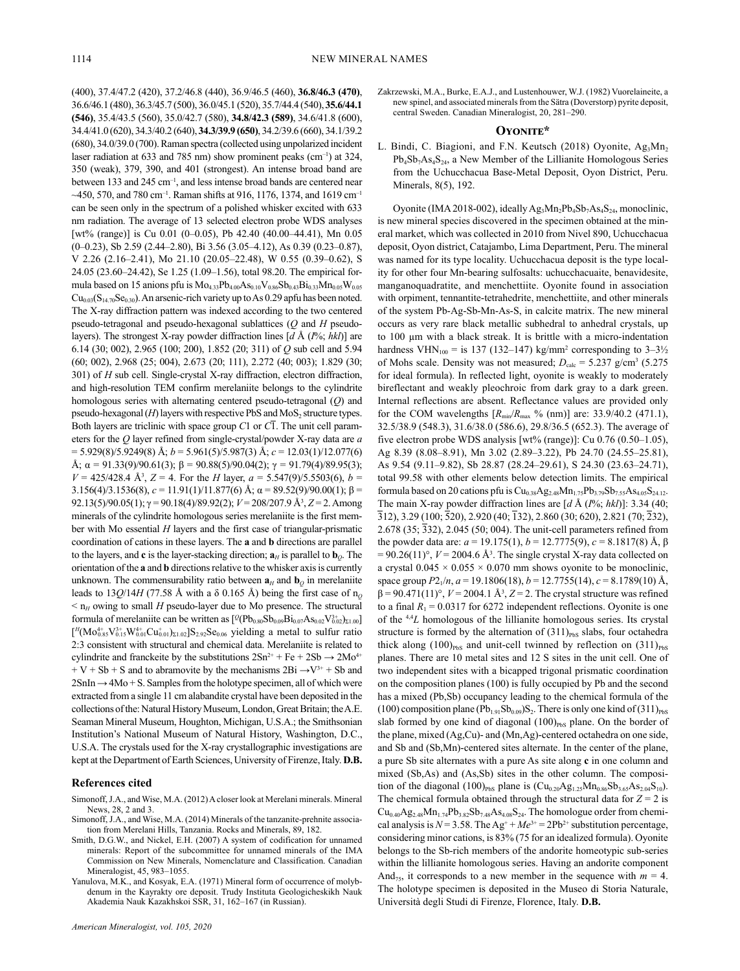(400), 37.4/47.2 (420), 37.2/46.8 (440), 36.9/46.5 (460), **36.8/46.3 (470)**, 36.6/46.1 (480), 36.3/45.7 (500), 36.0/45.1 (520), 35.7/44.4 (540), **35.6/44.1 (546)**, 35.4/43.5 (560), 35.0/42.7 (580), **34.8/42.3 (589)**, 34.6/41.8 (600), 34.4/41.0 (620), 34.3/40.2 (640), **34.3/39.9 (650)**, 34.2/39.6 (660), 34.1/39.2 (680), 34.0/39.0 (700). Raman spectra (collected using unpolarized incident laser radiation at 633 and 785 nm) show prominent peaks (cm<sup>-1</sup>) at 324, 350 (weak), 379, 390, and 401 (strongest). An intense broad band are between 133 and 245 cm<sup>-1</sup>, and less intense broad bands are centered near  $\sim$ 450, 570, and 780 cm<sup>-1</sup>. Raman shifts at 916, 1176, 1374, and 1619 cm<sup>-1</sup> can be seen only in the spectrum of a polished whisker excited with 633 nm radiation. The average of 13 selected electron probe WDS analyses [wt% (range)] is Cu 0.01 (0-0.05), Pb 42.40 (40.00-44.41), Mn 0.05 (0–0.23), Sb 2.59 (2.44–2.80), Bi 3.56 (3.05–4.12), As 0.39 (0.23–0.87), V 2.26 (2.16–2.41), Mo 21.10 (20.05–22.48), W 0.55 (0.39–0.62), S 24.05 (23.60–24.42), Se 1.25 (1.09–1.56), total 98.20. The empirical formula based on 15 anions pfu is  $Mo_{4.33}Pb_{4.00}As_{0.10}V_{0.86}Sb_{0.43}Bi_{0.33}Mn_{0.05}W_{0.05}$  $Cu_{0.03}(S_{14.70}Se_{0.30})$ . An arsenic-rich variety up to As 0.29 apfu has been noted. The X-ray diffraction pattern was indexed according to the two centered pseudo-tetragonal and pseudo-hexagonal sublattices (*Q* and *H* pseudolayers). The strongest X-ray powder diffraction lines [*d* Å (*I*%; *hkl*)] are 6.14 (30; 002), 2.965 (100; 200), 1.852 (20; 311) of *Q* sub cell and 5.94 (60; 002), 2.968 (25; 004), 2.673 (20; 111), 2.272 (40; 003); 1.829 (30; 301) of *H* sub cell. Single-crystal X-ray diffraction, electron diffraction, and high-resolution TEM confirm merelaniite belongs to the cylindrite homologous series with alternating centered pseudo-tetragonal (*Q*) and pseudo-hexagonal  $(H)$  layers with respective PbS and  $MoS<sub>2</sub>$  structure types. Both layers are triclinic with space group *C*1 or *C*1. The unit cell parameters for the *Q* layer refined from single-crystal/powder X-ray data are *a* = 5.929(8)/5.9249(8) Å; *b* = 5.961(5)/5.987(3) Å; *c* = 12.03(1)/12.077(6) Å;  $\alpha$  = 91.33(9)/90.61(3);  $\beta$  = 90.88(5)/90.04(2);  $\gamma$  = 91.79(4)/89.95(3);  $V = 425/428.4$  Å<sup>3</sup>,  $Z = 4$ . For the *H* layer,  $a = 5.547(9)/5.5503(6)$ ,  $b =$ 3.156(4)/3.1536(8), *c* = 11.91(1)/11.877(6) Å; α = 89.52(9)/90.00(1); β = 92.13(5)/90.05(1); γ = 90.18(4)/89.92(2); *V* = 208/207.9 Å3 , *Z* = 2. Among minerals of the cylindrite homologous series merelaniite is the first member with Mo essential *H* layers and the first case of triangular-prismatic coordination of cations in these layers. The **a** and **b** directions are parallel to the layers, and **c** is the layer-stacking direction;  $\mathbf{a}_H$  is parallel to  $\mathbf{b}_Q$ . The orientation of the **a** and **b** directions relative to the whisker axis is currently unknown. The commensurability ratio between  $\mathbf{a}_H$  and  $\mathbf{b}_Q$  in merelaniite leads to  $13Q/14H$  (77.58 Å with a  $\delta$  0.165 Å) being the first case of n<sub>o</sub>  $<$   $n_H$  owing to small *H* pseudo-layer due to Mo presence. The structural formula of merelaniite can be written as  $[{}^{\mathcal{Q}}(Pb_{0.80}Sb_{0.09}Bi_{0.07}As_{0.02}V_{0.02}^{3+})_{\Sigma1.00}]$  $[$ <sup>H</sup>(Mo<sup>4+</sup><sub>0.85</sub>V<sub>0.15</sub>W<sub>0.01</sub>Cu<sub>0.01</sub>)<sub>Σ1.02</sub>]S<sub>2.92</sub>Se<sub>0.06</sub> yielding a metal to sulfur ratio 2:3 consistent with structural and chemical data. Merelaniite is related to cylindrite and franckeite by the substitutions  $2Sn^{2+}$  + Fe +  $2Sb \rightarrow 2Mo^{4+}$  $+ V + Sb + S$  and to abramovite by the mechanisms  $2Bi \rightarrow V^{3+} + Sb$  and  $2SnIn \rightarrow 4Mo + S$ . Samples from the holotype specimen, all of which were extracted from a single 11 cm alabandite crystal have been deposited in the collections of the: Natural History Museum, London, Great Britain; the A.E. Seaman Mineral Museum, Houghton, Michigan, U.S.A.; the Smithsonian Institution's National Museum of Natural History, Washington, D.C., U.S.A. The crystals used for the X-ray crystallographic investigations are kept at the Department of Earth Sciences, University of Firenze, Italy. **D.B.**

# **References cited**

- Simonoff, J.A., and Wise, M.A. (2012) A closer look at Merelani minerals. Mineral News, 28, 2 and 3.
- Simonoff, J.A., and Wise, M.A. (2014) Minerals of the tanzanite-prehnite association from Merelani Hills, Tanzania. Rocks and Minerals, 89, 182.
- Smith, D.G.W., and Nickel, E.H. (2007) A system of codification for unnamed minerals: Report of the subcommittee for unnamed minerals of the IMA Commission on New Minerals, Nomenclature and Classification. Canadian Mineralogist, 45, 983–1055.
- Yanulova, M.K., and Kosyak, E.A. (1971) Mineral form of occurrence of molybdenum in the Kayrakty ore deposit. Trudy Instituta Geologicheskikh Nauk Akademia Nauk Kazakhskoi SSR, 31, 162–167 (in Russian).

Zakrzewski, M.A., Burke, E.A.J., and Lustenhouwer, W.J. (1982) Vuorelaineite, a new spinel, and associated minerals from the Sätra (Doverstorp) pyrite deposit, central Sweden. Canadian Mineralogist, 20, 281–290.

# **Oyonite\***

L. Bindi, C. Biagioni, and F.N. Keutsch (2018) Oyonite, Ag<sub>3</sub>Mn<sub>2</sub> Pb<sub>4</sub>Sb<sub>7</sub>As<sub>4</sub>S<sub>24</sub>, a New Member of the Lillianite Homologous Series from the Uchucchacua Base-Metal Deposit, Oyon District, Peru. Minerals, 8(5), 192.

Oyonite (IMA 2018-002), ideally Ag<sub>3</sub>Mn<sub>2</sub>Pb<sub>4</sub>Sb<sub>7</sub>As<sub>4</sub>S<sub>24</sub>, monoclinic, is new mineral species discovered in the specimen obtained at the mineral market, which was collected in 2010 from Nivel 890, Uchucchacua deposit, Oyon district, Catajambo, Lima Department, Peru. The mineral was named for its type locality. Uchucchacua deposit is the type locality for other four Mn-bearing sulfosalts: uchucchacuaite, benavidesite, manganoquadratite, and menchettiite. Oyonite found in association with orpiment, tennantite-tetrahedrite, menchettiite, and other minerals of the system Pb-Ag-Sb-Mn-As-S, in calcite matrix. The new mineral occurs as very rare black metallic subhedral to anhedral crystals, up to 100 µm with a black streak. It is brittle with a micro-indentation hardness  $VHN<sub>100</sub> =$  is 137 (132–147) kg/mm<sup>2</sup> corresponding to 3–3½ of Mohs scale. Density was not measured;  $D_{\text{calc}} = 5.237 \text{ g/cm}^3$  (5.275) for ideal formula). In reflected light, oyonite is weakly to moderately bireflectant and weakly pleochroic from dark gray to a dark green. Internal reflections are absent. Reflectance values are provided only for the COM wavelengths  $[R_{min}/R_{max}$  % (nm)] are: 33.9/40.2 (471.1), 32.5/38.9 (548.3), 31.6/38.0 (586.6), 29.8/36.5 (652.3). The average of five electron probe WDS analysis [wt% (range)]: Cu 0.76 (0.50–1.05), Ag 8.39 (8.08–8.91), Mn 3.02 (2.89–3.22), Pb 24.70 (24.55–25.81), As 9.54 (9.11–9.82), Sb 28.87 (28.24–29.61), S 24.30 (23.63–24.71), total 99.58 with other elements below detection limits. The empirical formula based on 20 cations pfu is  $Cu_{0.38}Ag_{2.48}Mn_{1.75}Pb_{3.79}Sb_{7.55}As_{4.05}S_{24.12}$ . The main X-ray powder diffraction lines are [*d* Å (*I*%; *hkl*)]: 3.34 (40; 312), 3.29 (100; 520), 2.920 (40; 132), 2.860 (30; 620), 2.821 (70; 232), 2.678 (35; 332), 2.045 (50; 004). The unit-cell parameters refined from the powder data are:  $a = 19.175(1)$ ,  $b = 12.7775(9)$ ,  $c = 8.1817(8)$  Å, β  $= 90.26(11)$ °,  $V = 2004.6$  Å<sup>3</sup>. The single crystal X-ray data collected on a crystal  $0.045 \times 0.055 \times 0.070$  mm shows oyonite to be monoclinic, space group *P*21/*n*, *a* = 19.1806(18), *b* = 12.7755(14), *c* = 8.1789(10) Å,  $\beta$  = 90.471(11)°, *V* = 2004.1 Å<sup>3</sup>, *Z* = 2. The crystal structure was refined to a final  $R_1 = 0.0317$  for 6272 independent reflections. Oyonite is one of the 4,4*L* homologous of the lillianite homologous series. Its crystal structure is formed by the alternation of  $(311)_{PbS}$  slabs, four octahedra thick along  $(100)_{\text{PbS}}$  and unit-cell twinned by reflection on  $(311)_{\text{PbS}}$ planes. There are 10 metal sites and 12 S sites in the unit cell. One of two independent sites with a bicapped trigonal prismatic coordination on the composition planes (100) is fully occupied by Pb and the second has a mixed (Pb,Sb) occupancy leading to the chemical formula of the (100) composition plane ( $Pb_{1.91}Sb_{0.09}$ )S<sub>2</sub>. There is only one kind of (311)<sub>PbS</sub> slab formed by one kind of diagonal (100)<sub>PbS</sub> plane. On the border of the plane, mixed (Ag,Cu)- and (Mn,Ag)-centered octahedra on one side, and Sb and (Sb,Mn)-centered sites alternate. In the center of the plane, a pure Sb site alternates with a pure As site along **c** in one column and mixed (Sb,As) and (As,Sb) sites in the other column. The composition of the diagonal (100)<sub>PbS</sub> plane is  $(Cu_{0.20}Ag_{1.25}Mn_{0.86}Sb_{3.65}As_{2.04}S_{10})$ . The chemical formula obtained through the structural data for  $Z = 2$  is  $Cu<sub>0.40</sub>Ag<sub>2.48</sub>Mn<sub>1.74</sub>Pb<sub>3.82</sub>Sb<sub>7.48</sub>As<sub>4.08</sub>S<sub>24</sub>. The homologue order from chemi$ cal analysis is  $N = 3.58$ . The  $Ag^+ + Me^{3+} = 2Pb^{2+}$  substitution percentage, considering minor cations, is 83% (75 for an idealized formula). Oyonite belongs to the Sb-rich members of the andorite homeotypic sub-series within the lillianite homologous series. Having an andorite component And<sub>75</sub>, it corresponds to a new member in the sequence with  $m = 4$ . The holotype specimen is deposited in the Museo di Storia Naturale, Università degli Studi di Firenze, Florence, Italy. **D.B.**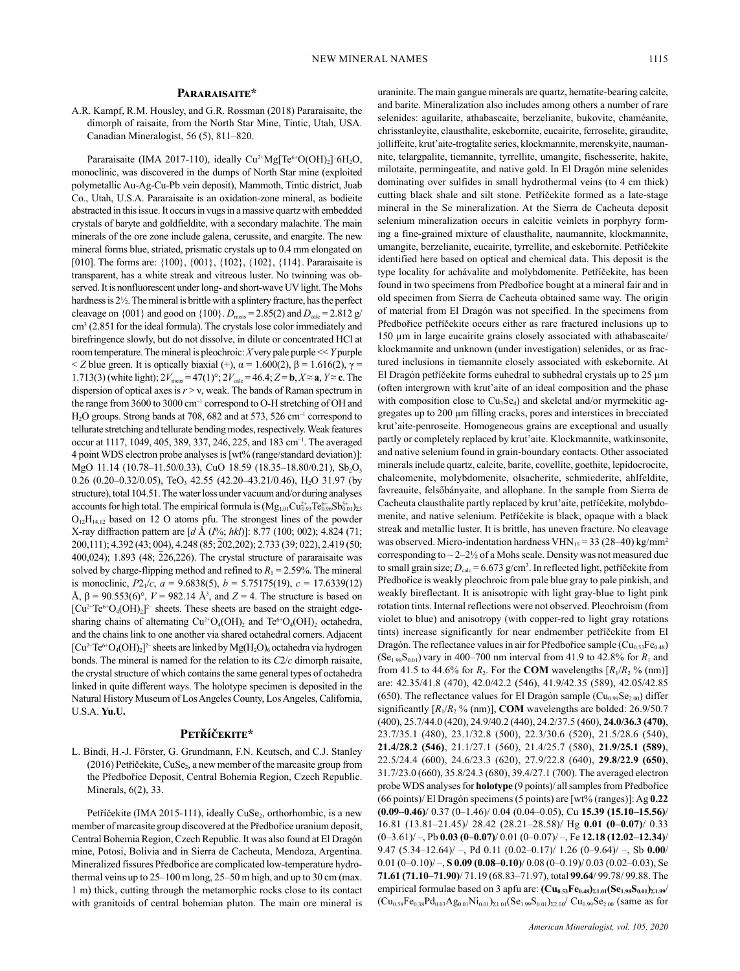# **Pararaisaite\***

A.R. Kampf, R.M. Housley, and G.R. Rossman (2018) Pararaisaite, the dimorph of raisaite, from the North Star Mine, Tintic, Utah, USA. Canadian Mineralogist, 56 (5), 811–820.

Pararaisaite (IMA 2017-110), ideally Cu<sup>2+</sup>Mg[Te<sup>6+</sup>O(OH)<sub>2</sub>]·6H<sub>2</sub>O, monoclinic, was discovered in the dumps of North Star mine (exploited polymetallic Au-Ag-Cu-Pb vein deposit), Mammoth, Tintic district, Juab Co., Utah, U.S.A. Pararaisaite is an oxidation-zone mineral, as bodieite abstracted in this issue. It occurs in vugs in a massive quartz with embedded crystals of baryte and goldfieldite, with a secondary malachite. The main minerals of the ore zone include galena, cerussite, and enargite. The new mineral forms blue, striated, prismatic crystals up to 0.4 mm elongated on [010]. The forms are: {100}, {001}, {102}, {102}, {114}. Pararaisaite is transparent, has a white streak and vitreous luster. No twinning was observed. It is nonfluorescent under long- and short-wave UV light. The Mohs hardness is 2½. The mineral is brittle with a splintery fracture, has the perfect cleavage on  $\{001\}$  and good on  $\{100\}$ .  $D_{\text{meas}} = 2.85(2)$  and  $D_{\text{calc}} = 2.812$  g/ cm<sup>3</sup> (2.851 for the ideal formula). The crystals lose color immediately and birefringence slowly, but do not dissolve, in dilute or concentrated HCl at room temperature. The mineral is pleochroic: *X* very pale purple << *Y* purple  $\langle Z \rangle$  blue green. It is optically biaxial (+),  $\alpha = 1.600(2)$ ,  $\beta = 1.616(2)$ ,  $\gamma =$ 1.713(3) (white light);  $2V_{\text{meas}} = 47(1)^\circ$ ;  $2V_{\text{calc}} = 46.4$ ;  $Z = \mathbf{b}, X \approx \mathbf{a}, Y \approx \mathbf{c}$ . The dispersion of optical axes is  $r > v$ , weak. The bands of Raman spectrum in the range from 3600 to 3000 cm<sup>-1</sup> correspond to O-H stretching of OH and H2O groups. Strong bands at 708, 682 and at 573, 526 cm–1 correspond to tellurate stretching and tellurate bending modes, respectively. Weak features occur at 1117, 1049, 405, 389, 337, 246, 225, and 183 cm–1. The averaged 4 point WDS electron probe analyses is [wt% (range/standard deviation)]: MgO 11.14 (10.78–11.50/0.33), CuO 18.59 (18.35–18.80/0.21), Sb<sub>2</sub>O<sub>5</sub> 0.26 (0.20–0.32/0.05), TeO<sub>3</sub> 42.55 (42.20–43.21/0.46), H<sub>2</sub>O 31.97 (by structure), total 104.51. The water loss under vacuum and/or during analyses accounts for high total. The empirical formula is  $(Mg_{1.01}Cu_{0.93}^{2+}Te_{0.96}^{6+}Sb_{0.01}^{5+})_{\Sigma3}$  $O_{12}H_{14,12}$  based on 12 O atoms pfu. The strongest lines of the powder X-ray diffraction pattern are [*d* Å (*I*%; *hkl*)]: 8.77 (100; 002); 4.824 (71; 200,111); 4.392 (43; 004), 4.248 (85; 202,202); 2.733 (39; 022), 2.419 (50; 400,024); 1.893 (48; 226,226). The crystal structure of pararaisaite was solved by charge-flipping method and refined to  $R_1 = 2.59\%$ . The mineral is monoclinic,  $P2_1/c$ ,  $a = 9.6838(5)$ ,  $b = 5.75175(19)$ ,  $c = 17.6339(12)$ Å,  $\beta$  = 90.553(6)°,  $V$  = 982.14 Å<sup>3</sup>, and  $Z$  = 4. The structure is based on  $[Cu^{2+}Te^{6+}O_4(OH)_2]^{2-}$  sheets. These sheets are based on the straight edgesharing chains of alternating  $Cu^{2+}O_4(OH)_2$  and  $Te^{6+}O_4(OH)_2$  octahedra, and the chains link to one another via shared octahedral corners. Adjacent  $[Cu^{2+}Te^{6+}O_4(OH)_2]^{2-}$  sheets are linked by  $Mg(H_2O)_6$  octahedra via hydrogen bonds. The mineral is named for the relation to its *C*2/*c* dimorph raisaite, the crystal structure of which contains the same general types of octahedra linked in quite different ways. The holotype specimen is deposited in the Natural History Museum of Los Angeles County, Los Angeles, California, U.S.A. **Yu.U.**

# **Petříčekite\***

L. Bindi, H.-J. Förster, G. Grundmann, F.N. Keutsch, and C.J. Stanley (2016) Petříčekite, CuSe<sub>2</sub>, a new member of the marcasite group from the Předbořice Deposit, Central Bohemia Region, Czech Republic. Minerals, 6(2), 33.

Petříčekite (IMA 2015-111), ideally CuSe<sub>2</sub>, orthorhombic, is a new member of marcasite group discovered at the Předbořice uranium deposit, Central Bohemia Region, Czech Republic. It was also found at El Dragón mine, Potosi, Bolivia and in Sierra de Cacheuta, Mendoza, Argentina. Mineralized fissures Předbořice are complicated low-temperature hydrothermal veins up to 25–100 m long, 25–50 m high, and up to 30 cm (max. 1 m) thick, cutting through the metamorphic rocks close to its contact with granitoids of central bohemian pluton. The main ore mineral is uraninite. The main gangue minerals are quartz, hematite-bearing calcite, and barite. Mineralization also includes among others a number of rare selenides: aguilarite, athabascaite, berzelianite, bukovite, chaméanite, chrisstanleyite, clausthalite, eskebornite, eucairite, ferroselite, giraudite, jolliffeite, krut'aite-trogtalite series, klockmannite, merenskyite, naumannite, telargpalite, tiemannite, tyrrellite, umangite, fischesserite, hakite, milotaite, permingeatite, and native gold. In El Dragón mine selenides dominating over sulfides in small hydrothermal veins (to 4 cm thick) cutting black shale and silt stone. Petříčekite formed as a late-stage mineral in the Se mineralization. At the Sierra de Cacheuta deposit selenium mineralization occurs in calcitic veinlets in porphyry forming a fine-grained mixture of clausthalite, naumannite, klockmannite, umangite, berzelianite, eucairite, tyrrellite, and eskebornite. Petříčekite identified here based on optical and chemical data. This deposit is the type locality for achávalite and molybdomenite. Petříčekite, has been found in two specimens from Předbořice bought at a mineral fair and in old specimen from Sierra de Cacheuta obtained same way. The origin of material from El Dragón was not specified. In the specimens from Předbořice petříčekite occurs either as rare fractured inclusions up to 150 µm in large eucairite grains closely associated with athabascaite/ klockmannite and unknown (under investigation) selenides, or as fractured inclusions in tiemannite closely associated with eskebornite. At El Dragón petříčekite forms euhedral to subhedral crystals up to 25 µm (often intergrown with krut'aite of an ideal composition and the phase with composition close to  $Cu<sub>3</sub>Se<sub>4</sub>$ ) and skeletal and/or myrmekitic aggregates up to 200 µm filling cracks, pores and interstices in brecciated krut'aite-penroseite. Homogeneous grains are exceptional and usually partly or completely replaced by krut'aite. Klockmannite, watkinsonite, and native selenium found in grain-boundary contacts. Other associated minerals include quartz, calcite, barite, covellite, goethite, lepidocrocite, chalcomenite, molybdomenite, olsacherite, schmiederite, ahlfeldite, favreauite, felsőbányaite, and allophane. In the sample from Sierra de Cacheuta clausthalite partly replaced by krut'aite, petříčekite, molybdomenite, and native selenium. Petříčekite is black, opaque with a black streak and metallic luster. It is brittle, has uneven fracture. No cleavage was observed. Micro-indentation hardness  $VHN_{15} = 33 (28-40)$  kg/mm<sup>2</sup> corresponding to  $\sim$  2–2½ of a Mohs scale. Density was not measured due to small grain size;  $D_{\text{calc}} = 6.673 \text{ g/cm}^3$ . In reflected light, petříčekite from Předbořice is weakly pleochroic from pale blue gray to pale pinkish, and weakly bireflectant. It is anisotropic with light gray-blue to light pink rotation tints. Internal reflections were not observed. Pleochroism (from violet to blue) and anisotropy (with copper-red to light gray rotations tints) increase significantly for near endmember petříčekite from El Dragón. The reflectance values in air for Předbořice sample  $\left(Cu_{0.53}Fe_{0.48}\right)$  $(Se<sub>1.98</sub>S<sub>0.01</sub>)$  vary in 400–700 nm interval from 41.9 to 42.8% for  $R_1$  and from 41.5 to 44.6% for  $R_2$ . For the **COM** wavelengths  $[R_1/R_2 %$  (nm)] are: 42.35/41.8 (470), 42.0/42.2 (546), 41.9/42.35 (589), 42.05/42.85 (650). The reflectance values for El Dragón sample ( $Cu<sub>0.99</sub>Se<sub>2.00</sub>$ ) differ significantly  $[R_1/R_2$ <sup>9</sup> (nm)], **COM** wavelengths are bolded: 26.9/50.7 (400), 25.7/44.0 (420), 24.9/40.2 (440), 24.2/37.5 (460), **24.0/36.3 (470)**, 23.7/35.1 (480), 23.1/32.8 (500), 22.3/30.6 (520), 21.5/28.6 (540), **21.4/28.2 (546)**, 21.1/27.1 (560), 21.4/25.7 (580), **21.9/25.1 (589)**, 22.5/24.4 (600), 24.6/23.3 (620), 27.9/22.8 (640), **29.8/22.9 (650)**, 31.7/23.0 (660), 35.8/24.3 (680), 39.4/27.1 (700). The averaged electron probe WDS analyses for **holotype** (9 points)/ all samples from Předbořice (66 points)/ El Dragón specimens (5 points) are [wt% (ranges)]: Ag **0.22 (0.09–0.46)**/ 0.37 (0–1.46)/ 0.04 (0.04–0.05), Cu **15.39 (15.10–15.56)**/ 16.81 (13.81–21.45)/ 28.42 (28.21–28.58)/ Hg **0.01 (0–0.07)**/ 0.33 (0–3.61)/ –, Pb **0.03 (0–0.07)**/ 0.01 (0–0.07)/ –, Fe **12.18 (12.02–12.34)**/ 9.47 (5.34–12.64)/ –, Pd 0.11 (0.02–0.17)/ 1.26 (0–9.64)/ –, Sb **0.00**/ 0.01 (0–0.10)/ –, **S 0.09 (0.08–0.10)**/ 0.08 (0–0.19)/ 0.03 (0.02–0.03), Se **71.61 (71.10–71.90)**/ 71.19 (68.83–71.97), total **99.64**/ 99.78/ 99.88. The empirical formulae based on 3 apfu are:  $(Cu_{0.53}Fe_{0.48})_{\Sigma1.01}(Se_{1.98}S_{0.01})_{\Sigma1.99}/$  $(Cu_{0.58}Fe_{0.38}Pd_{0.03}Ag_{0.01}Ni_{0.01})_{\Sigma1.01}(Se_{1.99}S_{0.01})_{\Sigma2.00}/ Cu_{0.99}Se_{2.00}$  (same as for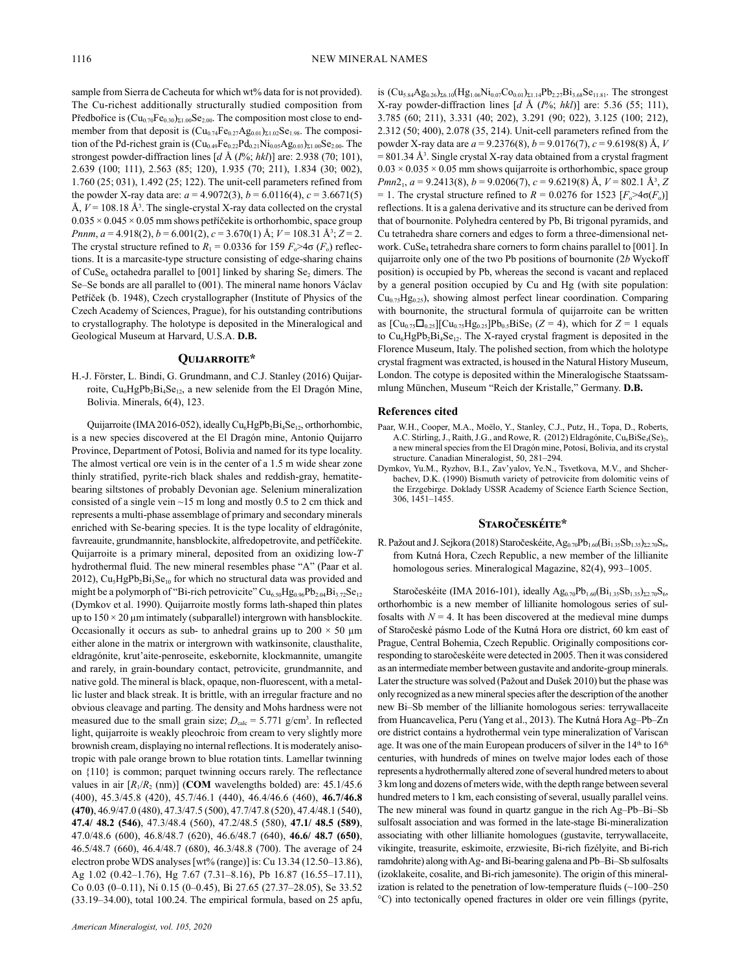sample from Sierra de Cacheuta for which wt% data for is not provided). The Cu-richest additionally structurally studied composition from Předbořice is  $(Cu_{0.70}Fe_{0.30})_{\Sigma1.00}Se_{2.00}$ . The composition most close to endmember from that deposit is  $(Cu_{0.74}Fe_{0.27}Ag_{0.01})_{\Sigma1.02}Se_{1.98}$ . The composition of the Pd-richest grain is  $(Cu_{0.49}Fe_{0.22}Pd_{0.21}Ni_{0.05}Ag_{0.03})_{\Sigma1.00}Se_{2.00}$ . The strongest powder-diffraction lines [*d* Å (*I*%; *hkl*)] are: 2.938 (70; 101), 2.639 (100; 111), 2.563 (85; 120), 1.935 (70; 211), 1.834 (30; 002), 1.760 (25; 031), 1.492 (25; 122). The unit-cell parameters refined from the powder X-ray data are:  $a = 4.9072(3)$ ,  $b = 6.0116(4)$ ,  $c = 3.6671(5)$ Å,  $V = 108.18$  Å<sup>3</sup>. The single-crystal X-ray data collected on the crystal  $0.035 \times 0.045 \times 0.05$  mm shows petříčekite is orthorhombic, space group *Pnnm*, *a* = 4.918(2), *b* = 6.001(2), *c* = 3.670(1) Å; *V* = 108.31 Å3 ; *Z* = 2. The crystal structure refined to  $R_1 = 0.0336$  for 159  $F_0 > 4\sigma$  ( $F_0$ ) reflections. It is a marcasite-type structure consisting of edge-sharing chains of CuSe<sub>6</sub> octahedra parallel to [001] linked by sharing Se<sub>2</sub> dimers. The Se–Se bonds are all parallel to (001). The mineral name honors Václav Petříček (b. 1948), Czech crystallographer (Institute of Physics of the Czech Academy of Sciences, Prague), for his outstanding contributions to crystallography. The holotype is deposited in the Mineralogical and Geological Museum at Harvard, U.S.A. **D.B.**

# **Quijarroite\***

H.-J. Förster, L. Bindi, G. Grundmann, and C.J. Stanley (2016) Quijarroite,  $Cu<sub>6</sub>HgPb<sub>2</sub>Bi<sub>4</sub>Se<sub>12</sub>$ , a new selenide from the El Dragón Mine, Bolivia. Minerals, 6(4), 123.

Quijarroite (IMA 2016-052), ideally Cu<sub>6</sub>HgPb<sub>2</sub>Bi<sub>4</sub>Se<sub>12</sub>, orthorhombic, is a new species discovered at the El Dragón mine, Antonio Quijarro Province, Department of Potosí, Bolivia and named for its type locality. The almost vertical ore vein is in the center of a 1.5 m wide shear zone thinly stratified, pyrite-rich black shales and reddish-gray, hematitebearing siltstones of probably Devonian age. Selenium mineralization consisted of a single vein ~15 m long and mostly 0.5 to 2 cm thick and represents a multi-phase assemblage of primary and secondary minerals enriched with Se-bearing species. It is the type locality of eldragónite, favreauite, grundmannite, hansblockite, alfredopetrovite, and petříčekite. Quijarroite is a primary mineral, deposited from an oxidizing low-*T*  hydrothermal fluid. The new mineral resembles phase "A" (Paar et al. 2012), Cu<sub>5</sub>HgPb<sub>2</sub>Bi<sub>3</sub>Se<sub>10</sub> for which no structural data was provided and might be a polymorph of "Bi-rich petrovicite"  $Cu_{6.50}Hg_{0.96}Pb_{2.04}Bi_{3.72}Se_{12}$ (Dymkov et al. 1990). Quijarroite mostly forms lath-shaped thin plates up to  $150 \times 20$  µm intimately (subparallel) intergrown with hansblockite. Occasionally it occurs as sub- to anhedral grains up to  $200 \times 50 \mu m$ either alone in the matrix or intergrown with watkinsonite, clausthalite, eldragónite, krut'aite-penroseite, eskebornite, klockmannite, umangite and rarely, in grain-boundary contact, petrovicite, grundmannite, and native gold. The mineral is black, opaque, non-fluorescent, with a metallic luster and black streak. It is brittle, with an irregular fracture and no obvious cleavage and parting. The density and Mohs hardness were not measured due to the small grain size;  $D_{\text{calc}} = 5.771$  g/cm<sup>3</sup>. In reflected light, quijarroite is weakly pleochroic from cream to very slightly more brownish cream, displaying no internal reflections. It is moderately anisotropic with pale orange brown to blue rotation tints. Lamellar twinning on {110} is common; parquet twinning occurs rarely. The reflectance values in air  $[R_1/R_2 \text{ (nm)}]$  (**COM** wavelengths bolded) are: 45.1/45.6 (400), 45.3/45.8 (420), 45.7/46.1 (440), 46.4/46.6 (460), **46.7/46.8 (470)**, 46.9/47.0 (480), 47.3/47.5 (500), 47.7/47.8 (520), 47.4/48.1 (540), **47.4/ 48.2 (546)**, 47.3/48.4 (560), 47.2/48.5 (580), **47.1/ 48.5 (589)**, 47.0/48.6 (600), 46.8/48.7 (620), 46.6/48.7 (640), **46.6/ 48.7 (650)**, 46.5/48.7 (660), 46.4/48.7 (680), 46.3/48.8 (700). The average of 24 electron probe WDS analyses [wt% (range)] is: Cu 13.34 (12.50–13.86), Ag 1.02 (0.42–1.76), Hg 7.67 (7.31–8.16), Pb 16.87 (16.55–17.11), Co 0.03 (0–0.11), Ni 0.15 (0–0.45), Bi 27.65 (27.37–28.05), Se 33.52 (33.19–34.00), total 100.24. The empirical formula, based on 25 apfu,

is  $(Cu_{5.84}Ag_{0.26})_{\Sigma6.10}(Hg_{1.06}Ni_{0.07}Co_{0.01})_{\Sigma1.14}Pb_{2.27}Bi_{3.68}Se_{11.81}$ . The strongest X-ray powder-diffraction lines [*d* Å (*I*%; *hkl*)] are: 5.36 (55; 111), 3.785 (60; 211), 3.331 (40; 202), 3.291 (90; 022), 3.125 (100; 212), 2.312 (50; 400), 2.078 (35, 214). Unit-cell parameters refined from the powder X-ray data are *a* = 9.2376(8), *b* = 9.0176(7), *c* = 9.6198(8) Å, *V*  $= 801.34 \text{ Å}^3$ . Single crystal X-ray data obtained from a crystal fragment  $0.03 \times 0.035 \times 0.05$  mm shows quijarroite is orthorhombic, space group *Pmn*21, *a* = 9.2413(8), *b* = 9.0206(7), *c* = 9.6219(8) Å, *V* = 802.1 Å3 , *Z* = 1. The crystal structure refined to  $R = 0.0276$  for 1523  $[F_0 > 4\sigma(F_0)]$ reflections. It is a galena derivative and its structure can be derived from that of bournonite. Polyhedra centered by Pb, Bi trigonal pyramids, and Cu tetrahedra share corners and edges to form a three-dimensional network. CuSe<sub>4</sub> tetrahedra share corners to form chains parallel to [001]. In quijarroite only one of the two Pb positions of bournonite (2*b* Wyckoff position) is occupied by Pb, whereas the second is vacant and replaced by a general position occupied by Cu and Hg (with site population:  $Cu_{0.75}Hg_{0.25}$ , showing almost perfect linear coordination. Comparing with bournonite, the structural formula of quijarroite can be written as  $[C_{u_{0.75}}\Box_{0.25}][C_{u_{0.75}}Hg_{0.25}]Pb_{0.5}BiSe_3$  (*Z* = 4), which for *Z* = 1 equals to  $Cu<sub>6</sub>HgPb<sub>2</sub>Bi<sub>4</sub>Se<sub>12</sub>$ . The X-rayed crystal fragment is deposited in the Florence Museum, Italy. The polished section, from which the holotype crystal fragment was extracted, is housed in the Natural History Museum, London. The cotype is deposited within the Mineralogische Staatssammlung München, Museum "Reich der Kristalle," Germany. **D.B.**

# **References cited**

- Paar, W.H., Cooper, M.A., Moëlo, Y., Stanley, C.J., Putz, H., Topa, D., Roberts, A.C. Stirling, J., Raith, J.G., and Rowe, R. (2012) Eldragónite, Cu<sub>6</sub>BiSe<sub>4</sub>(Se)<sub>2</sub>, a new mineral species from the El Dragón mine, Potosí, Bolivia, and its crystal structure. Canadian Mineralogist, 50, 281–294.
- Dymkov, Yu.M., Ryzhov, B.I., Zav'yalov, Ye.N., Tsvetkova, M.V., and Shcherbachev, D.K. (1990) Bismuth variety of petrovicite from dolomitic veins of the Erzgebirge. Doklady USSR Academy of Science Earth Science Section, 306, 1451–1455.

# **Staročeskéite\***

R. Pažout and J. Sejkora (2018) Staročeskéite,  $Ag_{0.70}Pb_{1.60}(Bi_{1.35}Sb_{1.35})_{\Sigma2.70}S_6$ , from Kutná Hora, Czech Republic, a new member of the lillianite homologous series. Mineralogical Magazine, 82(4), 993–1005.

Staročeskéite (IMA 2016-101), ideally  $Ag_{0.70}Pb_{1.60}(Bi_{1.35}Sb_{1.35})_{\Sigma2.70}S_{6}$ , orthorhombic is a new member of lillianite homologous series of sulfosalts with  $N = 4$ . It has been discovered at the medieval mine dumps of Staročeské pásmo Lode of the Kutná Hora ore district, 60 km east of Prague, Central Bohemia, Czech Republic. Originally compositions corresponding to staročeskéite were detected in 2005. Then it was considered as an intermediate member between gustavite and andorite-group minerals. Later the structure was solved (Pažout and Dušek 2010) but the phase was only recognized as a new mineral species after the description of the another new Bi–Sb member of the lillianite homologous series: terrywallaceite from Huancavelica, Peru (Yang et al., 2013). The Kutná Hora Ag–Pb–Zn ore district contains a hydrothermal vein type mineralization of Variscan age. It was one of the main European producers of silver in the 14<sup>th</sup> to 16<sup>th</sup> centuries, with hundreds of mines on twelve major lodes each of those represents a hydrothermally altered zone of several hundred meters to about 3 km long and dozens of meters wide, with the depth range between several hundred meters to 1 km, each consisting of several, usually parallel veins. The new mineral was found in quartz gangue in the rich Ag–Pb–Bi–Sb sulfosalt association and was formed in the late-stage Bi-mineralization associating with other lillianite homologues (gustavite, terrywallaceite, vikingite, treasurite, eskimoite, erzwiesite, Bi-rich fizélyite, and Bi-rich ramdohrite) along with Ag- and Bi-bearing galena and Pb–Bi–Sb sulfosalts (izoklakeite, cosalite, and Bi-rich jamesonite). The origin of this mineralization is related to the penetration of low-temperature fluids  $(\sim]100-250$ °C) into tectonically opened fractures in older ore vein fillings (pyrite,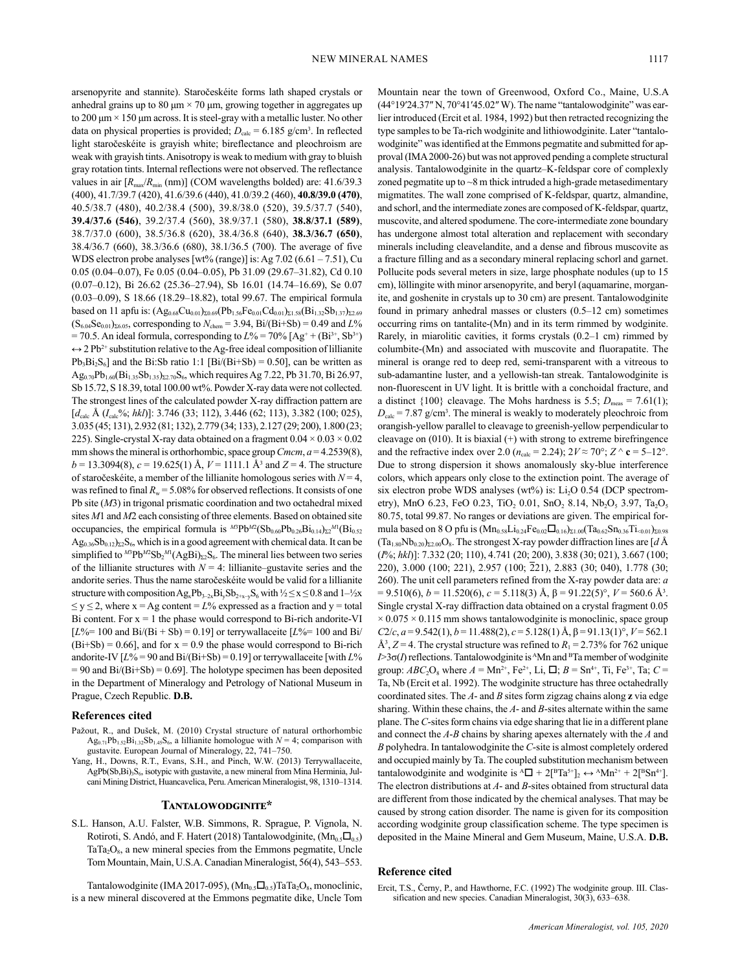arsenopyrite and stannite). Staročeskéite forms lath shaped crystals or anhedral grains up to 80 μm  $\times$  70 μm, growing together in aggregates up to 200 μm × 150 μm across. It is steel-gray with a metallic luster. No other data on physical properties is provided;  $D_{\text{calc}} = 6.185 \text{ g/cm}^3$ . In reflected light staročeskéite is grayish white; bireflectance and pleochroism are weak with grayish tints. Anisotropy is weak to medium with gray to bluish gray rotation tints. Internal reflections were not observed. The reflectance values in air  $[R_{\text{max}}/R_{\text{min}} \text{ (nm)}]$  (COM wavelengths bolded) are: 41.6/39.3 (400), 41.7/39.7 (420), 41.6/39.6 (440), 41.0/39.2 (460), **40.8/39.0 (470)**, 40.5/38.7 (480), 40.2/38.4 (500), 39.8/38.0 (520), 39.5/37.7 (540), **39.4/37.6 (546)**, 39.2/37.4 (560), 38.9/37.1 (580), **38.8/37.1 (589)**, 38.7/37.0 (600), 38.5/36.8 (620), 38.4/36.8 (640), **38.3/36.7 (650)**, 38.4/36.7 (660), 38.3/36.6 (680), 38.1/36.5 (700). The average of five WDS electron probe analyses [wt% (range)] is: Ag  $7.02$  (6.61 –  $7.51$ ), Cu 0.05 (0.04–0.07), Fe 0.05 (0.04–0.05), Pb 31.09 (29.67–31.82), Cd 0.10 (0.07–0.12), Bi 26.62 (25.36–27.94), Sb 16.01 (14.74–16.69), Se 0.07 (0.03–0.09), S 18.66 (18.29–18.82), total 99.67. The empirical formula based on 11 apfu is:  $(Ag_{0.68}Cu_{0.01})_{\Sigma 0.69} (Pb_{1.56}Fe_{0.01}Cd_{0.01})_{\Sigma 1.58} (Bi_{1.32}Sb_{1.37})_{\Sigma 2.69}$  $(S_{6.04}Se_{0.01})_{\Sigma 6.05}$ , corresponding to  $N_{\text{chem}} = 3.94$ , Bi/(Bi+Sb) = 0.49 and *L%*  $= 70.5$ . An ideal formula, corresponding to  $L\% = 70\%$  [Ag<sup>+</sup> + (Bi<sup>3+</sup>, Sb<sup>3+</sup>)  $\leftrightarrow$  2 Pb<sup>2+</sup> substitution relative to the Ag-free ideal composition of lillianite  $Pb_3Bi_2S_6$ ] and the Bi:Sb ratio 1:1 [Bi/(Bi+Sb) = 0.50], can be written as  $Ag<sub>0.70</sub>Pb<sub>1.60</sub>(Bi<sub>1.35</sub>Sb<sub>1.35</sub>)<sub>52.70</sub>S<sub>6</sub>$ , which requires Ag 7.22, Pb 31.70, Bi 26.97, Sb 15.72, S 18.39, total 100.00 wt%. Powder X-ray data were not collected. The strongest lines of the calculated powder X-ray diffraction pattern are [ $d_{\text{calc}}$  Å ( $I_{\text{calc}}$ %; *hkl*)]: 3.746 (33; 112), 3.446 (62; 113), 3.382 (100; 025), 3.035 (45; 131), 2.932 (81; 132), 2.779 (34; 133), 2.127 (29; 200), 1.800 (23; 225). Single-crystal X-ray data obtained on a fragment  $0.04 \times 0.03 \times 0.02$ mm shows the mineral is orthorhombic, space group *Cmcm*, *a* = 4.2539(8),  $b = 13.3094(8)$ ,  $c = 19.625(1)$  Å,  $V = 1111.1$  Å<sup>3</sup> and  $Z = 4$ . The structure of staročeskéite, a member of the lillianite homologous series with *N* = 4, was refined to final  $R_w = 5.08\%$  for observed reflections. It consists of one Pb site (*M*3) in trigonal prismatic coordination and two octahedral mixed sites *M*1 and *M*2 each consisting of three elements. Based on obtained site occupancies, the empirical formula is  ${}^{M3}Pb^{M2}(\text{Sb}_{0.60}Pb_{0.26}Bi_{0.14})_{\Sigma2}{}^{M1}(\text{Bi}_{0.52}Pb_{0.60}Pb_{0.60}Pb_{0.60}Pb_{0.60}Pb_{0.60}Pb_{0.60}Pb_{0.60}Pb_{0.60}Pb_{0.60}Pb_{0.60}Pb_{0.60}Pb_{0.60}Pb_{0.60}Pb_{0.60}Pb_{0.60}Pb_{0.$  $Ag<sub>0.36</sub>Sb<sub>0.12</sub>)<sub>22</sub>S<sub>6</sub>$ , which is in a good agreement with chemical data. It can be simplified to  $^{M3}Pb^{M2}Sb_2{}^{M1}(AgBi)_{\Sigma2}S_6$ . The mineral lies between two series of the lillianite structures with  $N = 4$ : lillianite–gustavite series and the andorite series. Thus the name staročeskéite would be valid for a lillianite structure with composition  $\text{Ag}_x\text{Pb}_{3-2x}\text{Bi}_y\text{Sb}_{2+x-y}\text{S}_6$  with  $\frac{1}{2} \leq x \leq 0.8$  and  $1-\frac{1}{2}x$  $\leq$  y  $\leq$  2, where x = Ag content =  $L$ % expressed as a fraction and y = total Bi content. For  $x = 1$  the phase would correspond to Bi-rich andorite-VI  $[L%=100$  and Bi/(Bi + Sb) = 0.19] or terrywallaceite  $[L%=100$  and Bi/  $(Bi+Sb) = 0.66$ , and for  $x = 0.9$  the phase would correspond to Bi-rich andorite-IV  $[L% = 90$  and  $Bi/(Bi+Sb) = 0.19$  or terrywallaceite [with  $L%$  $= 90$  and Bi/(Bi+Sb) = 0.69]. The holotype specimen has been deposited in the Department of Mineralogy and Petrology of National Museum in Prague, Czech Republic. **D.B.**

# **References cited**

- Pažout, R., and Dušek, M. (2010) Crystal structure of natural orthorhombic  $Ag_{0.71}Pb_{1.52}Bi_{1.32}Sb_{1.45}S_6$ , a lillianite homologue with  $N = 4$ ; comparison with gustavite. European Journal of Mineralogy, 22, 741–750.
- Yang, H., Downs, R.T., Evans, S.H., and Pinch, W.W. (2013) Terrywallaceite,  $AgPb(Sb,Bi)_{3}S_{6}$ , isotypic with gustavite, a new mineral from Mina Herminia, Julcani Mining District, Huancavelica, Peru. American Mineralogist, 98, 1310–1314.

# **Tantalowodginite\***

S.L. Hanson, A.U. Falster, W.B. Simmons, R. Sprague, P. Vignola, N. Rotiroti, S. Andó, and F. Hatert (2018) Tantalowodginite,  $(Mn_{0.5}\square_{0.5})$  $TaTa_2O_8$ , a new mineral species from the Emmons pegmatite, Uncle Tom Mountain, Main, U.S.A. Canadian Mineralogist, 56(4), 543–553.

Tantalowodginite (IMA 2017-095),  $(Mn_{0.5}\Box_{0.5})$ TaTa<sub>2</sub>O<sub>8</sub>, monoclinic, is a new mineral discovered at the Emmons pegmatite dike, Uncle Tom Mountain near the town of Greenwood, Oxford Co., Maine, U.S.A (44°19ʹ24.37″ N, 70°41ʹ45.02″ W). The name "tantalowodginite" was earlier introduced (Ercit et al. 1984, 1992) but then retracted recognizing the type samples to be Ta-rich wodginite and lithiowodginite. Later "tantalowodginite" was identified at the Emmons pegmatite and submitted for approval (IMA 2000-26) but was not approved pending a complete structural analysis. Tantalowodginite in the quartz–K-feldspar core of complexly zoned pegmatite up to ~8 m thick intruded a high-grade metasedimentary migmatites. The wall zone comprised of K-feldspar, quartz, almandine, and schorl, and the intermediate zones are composed of K-feldspar, quartz, muscovite, and altered spodumene. The core-intermediate zone boundary has undergone almost total alteration and replacement with secondary minerals including cleavelandite, and a dense and fibrous muscovite as a fracture filling and as a secondary mineral replacing schorl and garnet. Pollucite pods several meters in size, large phosphate nodules (up to 15 cm), löllingite with minor arsenopyrite, and beryl (aquamarine, morganite, and goshenite in crystals up to 30 cm) are present. Tantalowodginite found in primary anhedral masses or clusters (0.5–12 cm) sometimes occurring rims on tantalite-(Mn) and in its term rimmed by wodginite. Rarely, in miarolitic cavities, it forms crystals (0.2–1 cm) rimmed by columbite-(Mn) and associated with muscovite and fluorapatite. The mineral is orange red to deep red, semi-transparent with a vitreous to sub-adamantine luster, and a yellowish-tan streak. Tantalowodginite is non-fluorescent in UV light. It is brittle with a conchoidal fracture, and a distinct  $\{100\}$  cleavage. The Mohs hardness is 5.5;  $D_{\text{meas}} = 7.61(1)$ ;  $D_{\text{calc}}$  = 7.87 g/cm<sup>3</sup>. The mineral is weakly to moderately pleochroic from orangish-yellow parallel to cleavage to greenish-yellow perpendicular to cleavage on (010). It is biaxial (+) with strong to extreme birefringence and the refractive index over 2.0 ( $n_{\text{calc}} = 2.24$ );  $2V \approx 70^{\circ}$ ;  $Z \wedge \mathbf{c} = 5{\text{-}12^{\circ}}$ . Due to strong dispersion it shows anomalously sky-blue interference colors, which appears only close to the extinction point. The average of six electron probe WDS analyses (wt%) is:  $Li<sub>2</sub>O$  0.54 (DCP spectrometry), MnO 6.23, FeO 0.23, TiO<sub>2</sub> 0.01, SnO<sub>2</sub> 8.14, Nb<sub>2</sub>O<sub>5</sub> 3.97, Ta<sub>2</sub>O<sub>5</sub> 80.75, total 99.87. No ranges or deviations are given. The empirical formula based on 8 O pfu is  $(Mn_{0.58}Li_{0.24}Fe_{0.02}\Box_{0.16})_{\Sigma1.00}$  $(Ta_{0.62}Sn_{0.36}Ti_{\leq 0.01})_{\Sigma0.98}$  $(Ta_{1.80}Nb_{0.20})_{\Sigma2.00}O_8$ . The strongest X-ray powder diffraction lines are [*d* Å (*I*%; *hkl*)]: 7.332 (20; 110), 4.741 (20; 200), 3.838 (30; 021), 3.667 (100; 220), 3.000 (100; 221), 2.957 (100; 221), 2.883 (30; 040), 1.778 (30; 260). The unit cell parameters refined from the X-ray powder data are: *a*  $= 9.510(6)$ ,  $b = 11.520(6)$ ,  $c = 5.118(3)$  Å,  $\beta = 91.22(5)$ °,  $V = 560.6$  Å<sup>3</sup>. Single crystal X-ray diffraction data obtained on a crystal fragment 0.05  $\times$  0.075  $\times$  0.115 mm shows tantalowodginite is monoclinic, space group *C*2/*c*, *a* = 9.542(1), *b* = 11.488(2), *c* = 5.128(1) Å, β = 91.13(1)°, *V* = 562.1  $\AA^3$ ,  $Z = 4$ . The crystal structure was refined to  $R_1 = 2.73\%$  for 762 unique  $I > 3\sigma(I)$  reflections. Tantalowodginite is <sup>A</sup>Mn and <sup>B</sup>Ta member of wodginite group:  $ABC_2O_8$  where  $A = Mn^{2+}$ , Fe<sup>2+</sup>, Li,  $\Box$ ;  $B = Sn^{4+}$ , Ti, Fe<sup>3+</sup>, Ta;  $C =$ Ta, Nb (Ercit et al. 1992). The wodginite structure has three octahedrally coordinated sites. The *A*- and *B* sites form zigzag chains along **z** via edge sharing. Within these chains, the *A*- and *B*-sites alternate within the same plane. The *C*-sites form chains via edge sharing that lie in a different plane and connect the *A*-*B* chains by sharing apexes alternately with the *A* and *B* polyhedra. In tantalowodginite the *C*-site is almost completely ordered and occupied mainly by Ta. The coupled substitution mechanism between tantalowodginite and wodginite is  ${}^{\text{A}}\Box + 2[{}^{\text{B}}\text{Ta}^{5+}]_2 \leftrightarrow {}^{\text{A}}\text{M}n^{2+} + 2[{}^{\text{B}}\text{Sn}^{4+}]$ . The electron distributions at *A*- and *B*-sites obtained from structural data are different from those indicated by the chemical analyses. That may be caused by strong cation disorder. The name is given for its composition according wodginite group classification scheme. The type specimen is deposited in the Maine Mineral and Gem Museum, Maine, U.S.A. **D.B.**

# **Reference cited**

Ercit, T.S., Černy, P., and Hawthorne, F.C. (1992) The wodginite group. III. Classification and new species. Canadian Mineralogist, 30(3), 633–638.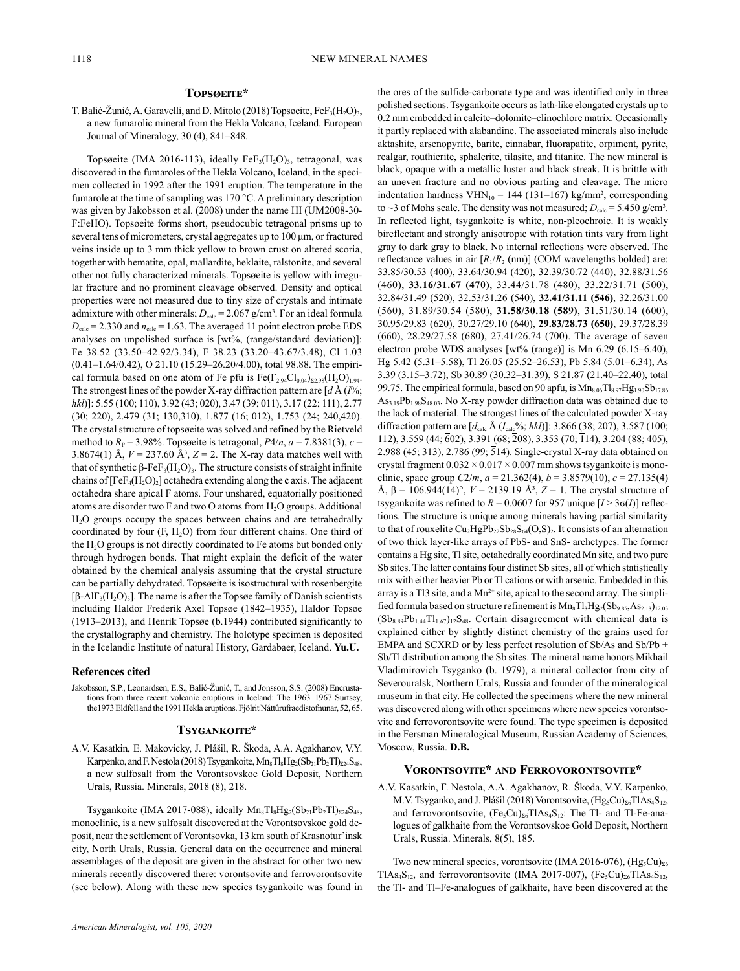# **Topsøeite\***

T. Balić-Žunić, A. Garavelli, and D. Mitolo (2018) Topsøeite,  $FeF<sub>3</sub>(H<sub>2</sub>O)<sub>3</sub>$ , a new fumarolic mineral from the Hekla Volcano, Iceland. European Journal of Mineralogy, 30 (4), 841–848.

Topsøeite (IMA 2016-113), ideally Fe $F_3(H_2O)_3$ , tetragonal, was discovered in the fumaroles of the Hekla Volcano, Iceland, in the specimen collected in 1992 after the 1991 eruption. The temperature in the fumarole at the time of sampling was 170 °C. A preliminary description was given by Jakobsson et al. (2008) under the name HI (UM2008-30- F:FeHO). Topsøeite forms short, pseudocubic tetragonal prisms up to several tens of micrometers, crystal aggregates up to 100 μm, or fractured veins inside up to 3 mm thick yellow to brown crust on altered scoria, together with hematite, opal, mallardite, heklaite, ralstonite, and several other not fully characterized minerals. Topsøeite is yellow with irregular fracture and no prominent cleavage observed. Density and optical properties were not measured due to tiny size of crystals and intimate admixture with other minerals;  $D_{\text{calc}} = 2.067 \text{ g/cm}^3$ . For an ideal formula  $D_{\text{calc}}$  = 2.330 and  $n_{\text{calc}}$  = 1.63. The averaged 11 point electron probe EDS analyses on unpolished surface is [wt%, (range/standard deviation)]: Fe 38.52 (33.50–42.92/3.34), F 38.23 (33.20–43.67/3.48), Cl 1.03 (0.41–1.64/0.42), O 21.10 (15.29–26.20/4.00), total 98.88. The empirical formula based on one atom of Fe pfu is  $Fe(F_{2.94}Cl_{0.04})_{\Sigma2.98}(H_2O)_{1.94}$ . The strongest lines of the powder X-ray diffraction pattern are [*d* Å (*I*%; *hkl*)]: 5.55 (100; 110), 3.92 (43; 020), 3.47 (39; 011), 3.17 (22; 111), 2.77 (30; 220), 2.479 (31; 130,310), 1.877 (16; 012), 1.753 (24; 240,420). The crystal structure of topsøeite was solved and refined by the Rietveld method to  $R<sub>P</sub> = 3.98\%$ . Topsøeite is tetragonal,  $P4/n$ ,  $a = 7.8381(3)$ ,  $c =$ 3.8674(1) Å,  $V = 237.60$  Å<sup>3</sup>,  $Z = 2$ . The X-ray data matches well with that of synthetic β-FeF<sub>3</sub>(H<sub>2</sub>O)<sub>3</sub>. The structure consists of straight infinite chains of  $[FeF_4(H_2O)_2]$  octahedra extending along the **c** axis. The adjacent octahedra share apical F atoms. Four unshared, equatorially positioned atoms are disorder two F and two O atoms from H<sub>2</sub>O groups. Additional H2O groups occupy the spaces between chains and are tetrahedrally coordinated by four  $(F, H<sub>2</sub>O)$  from four different chains. One third of the H<sub>2</sub>O groups is not directly coordinated to Fe atoms but bonded only through hydrogen bonds. That might explain the deficit of the water obtained by the chemical analysis assuming that the crystal structure can be partially dehydrated. Topsøeite is isostructural with rosenbergite [β-AlF<sub>3</sub>(H<sub>2</sub>O)<sub>3</sub>]. The name is after the Topsøe family of Danish scientists including Haldor Frederik Axel Topsøe (1842–1935), Haldor Topsøe (1913–2013), and Henrik Topsøe (b.1944) contributed significantly to the crystallography and chemistry. The holotype specimen is deposited in the Icelandic Institute of natural History, Gardabaer, Iceland. **Yu.U.**

#### **References cited**

Jakobsson, S.P., Leonardsen, E.S., Balić-Žunić, T., and Jonsson, S.S. (2008) Encrustations from three recent volcanic eruptions in Iceland: The 1963–1967 Surtsey, the1973 Eldfell and the 1991 Hekla eruptions. Fjölrit Náttúrufraedistofnunar, 52, 65.

# **Tsygankoite\***

A.V. Kasatkin, E. Makovicky, J. Plášil, R. Škoda, A.A. Agakhanov, V.Y. Karpenko, and F. Nestola (2018) Tsygankoite,  $Mn_8Tl_8Hg_2(Sb_{21}Pb_2Tl)_{224}S_{48}$ , a new sulfosalt from the Vorontsovskoe Gold Deposit, Northern Urals, Russia. Minerals, 2018 (8), 218.

Tsygankoite (IMA 2017-088), ideally  $Mn_8Tl_8Hg_2(Sb_{21}Pb_2Tl)_{\Sigma 24}S_{48}$ , monoclinic, is a new sulfosalt discovered at the Vorontsovskoe gold deposit, near the settlement of Vorontsovka, 13 km south of Krasnotur'insk city, North Urals, Russia. General data on the occurrence and mineral assemblages of the deposit are given in the abstract for other two new minerals recently discovered there: vorontsovite and ferrovorontsovite (see below). Along with these new species tsygankoite was found in the ores of the sulfide-carbonate type and was identified only in three polished sections. Tsygankoite occurs as lath-like elongated crystals up to 0.2 mm embedded in calcite–dolomite–clinochlore matrix. Occasionally it partly replaced with alabandine. The associated minerals also include aktashite, arsenopyrite, barite, cinnabar, fluorapatite, orpiment, pyrite, realgar, routhierite, sphalerite, tilasite, and titanite. The new mineral is black, opaque with a metallic luster and black streak. It is brittle with an uneven fracture and no obvious parting and cleavage. The micro indentation hardness  $VHN_{10} = 144 (131–167) kg/mm^2$ , corresponding to  $\sim$ 3 of Mohs scale. The density was not measured;  $D_{\text{calc}} = 5.450 \text{ g/cm}^3$ . In reflected light, tsygankoite is white, non-pleochroic. It is weakly bireflectant and strongly anisotropic with rotation tints vary from light gray to dark gray to black. No internal reflections were observed. The reflectance values in air  $[R_1/R_2$  (nm)] (COM wavelengths bolded) are: 33.85/30.53 (400), 33.64/30.94 (420), 32.39/30.72 (440), 32.88/31.56 (460), **33.16/31.67 (470)**, 33.44/31.78 (480), 33.22/31.71 (500), 32.84/31.49 (520), 32.53/31.26 (540), **32.41/31.11 (546)**, 32.26/31.00 (560), 31.89/30.54 (580), **31.58/30.18 (589)**, 31.51/30.14 (600), 30.95/29.83 (620), 30.27/29.10 (640), **29.83/28.73 (650)**, 29.37/28.39 (660), 28.29/27.58 (680), 27.41/26.74 (700). The average of seven electron probe WDS analyses [wt% (range)] is Mn 6.29 (6.15–6.40), Hg 5.42 (5.31–5.58), Tl 26.05 (25.52–26.53), Pb 5.84 (5.01–6.34), As 3.39 (3.15–3.72), Sb 30.89 (30.32–31.39), S 21.87 (21.40–22.40), total 99.75. The empirical formula, based on 90 apfu, is  $Mn_{8.06}Tl_{8.97}Hg_{1.90}Sb_{17.86}$  $As<sub>3.19</sub>Pb<sub>1.98</sub>S<sub>48.03</sub>$ . No X-ray powder diffraction data was obtained due to the lack of material. The strongest lines of the calculated powder X-ray diffraction pattern are  $[d_{\text{calc}} \text{Å } (I_{\text{calc}} \text{%}; \text{hkl})]$ : 3.866 (38; 207), 3.587 (100; 112), 3.559 (44; 602), 3.391 (68; 208), 3.353 (70; 114), 3.204 (88; 405), 2.988 (45; 313), 2.786 (99; 514). Single-crystal X-ray data obtained on crystal fragment  $0.032 \times 0.017 \times 0.007$  mm shows tsygankoite is monoclinic, space group *C*2/*m*, *a* = 21.362(4), *b* = 3.8579(10), *c* = 27.135(4) Å, β = 106.944(14)°, *V* = 2139.19 Å3 , *Z* = 1. The crystal structure of tsygankoite was refined to  $R = 0.0607$  for 957 unique  $[I > 3\sigma(I)]$  reflections. The structure is unique among minerals having partial similarity to that of rouxelite  $Cu_2HgPb_{22}Sb_{28}S_{64}(O,S)_2$ . It consists of an alternation of two thick layer-like arrays of PbS- and SnS- archetypes. The former contains a Hg site, Tl site, octahedrally coordinated Mn site, and two pure Sb sites. The latter contains four distinct Sb sites, all of which statistically mix with either heavier Pb or Tl cations or with arsenic. Embedded in this array is a Tl3 site, and a  $Mn^{2+}$  site, apical to the second array. The simplified formula based on structure refinement is  $Mn_8Tl_8Hg_2(Sb_{9.85},As_{2.18})_{12.03}$  $(Sb_{8.89}Pb_{1.44}T1_{1.67})_{12}S_{48}$ . Certain disagreement with chemical data is explained either by slightly distinct chemistry of the grains used for EMPA and SCXRD or by less perfect resolution of Sb/As and Sb/Pb + Sb/Tl distribution among the Sb sites. The mineral name honors Mikhail Vladimirovich Tsyganko (b. 1979), a mineral collector from city of Severouralsk, Northern Urals, Russia and founder of the mineralogical museum in that city. He collected the specimens where the new mineral was discovered along with other specimens where new species vorontsovite and ferrovorontsovite were found. The type specimen is deposited in the Fersman Mineralogical Museum, Russian Academy of Sciences, Moscow, Russia. **D.B.**

# **Vorontsovite\* and Ferrovorontsovite\***

A.V. Kasatkin, F. Nestola, A.A. Agakhanov, R. Škoda, V.Y. Karpenko, M.V. Tsyganko, and J. Plášil (2018) Vorontsovite, (Hg<sub>5</sub>Cu)<sub>Σ6</sub>TlAs<sub>4</sub>S<sub>12</sub>, and ferrovorontsovite,  $(Fe<sub>5</sub>Cu)<sub>26</sub> TIAs<sub>4</sub>S<sub>12</sub>:$  The Tl- and Tl-Fe-analogues of galkhaite from the Vorontsovskoe Gold Deposit, Northern Urals, Russia. Minerals, 8(5), 185.

Two new mineral species, vorontsovite (IMA 2016-076), (Hg<sub>5</sub>Cu)<sub>Σ6</sub> TlAs<sub>4</sub>S<sub>12</sub>, and ferrovorontsovite (IMA 2017-007), (Fe<sub>5</sub>Cu)<sub>Σ6</sub>TlAs<sub>4</sub>S<sub>12</sub>, the Tl- and Tl–Fe-analogues of galkhaite, have been discovered at the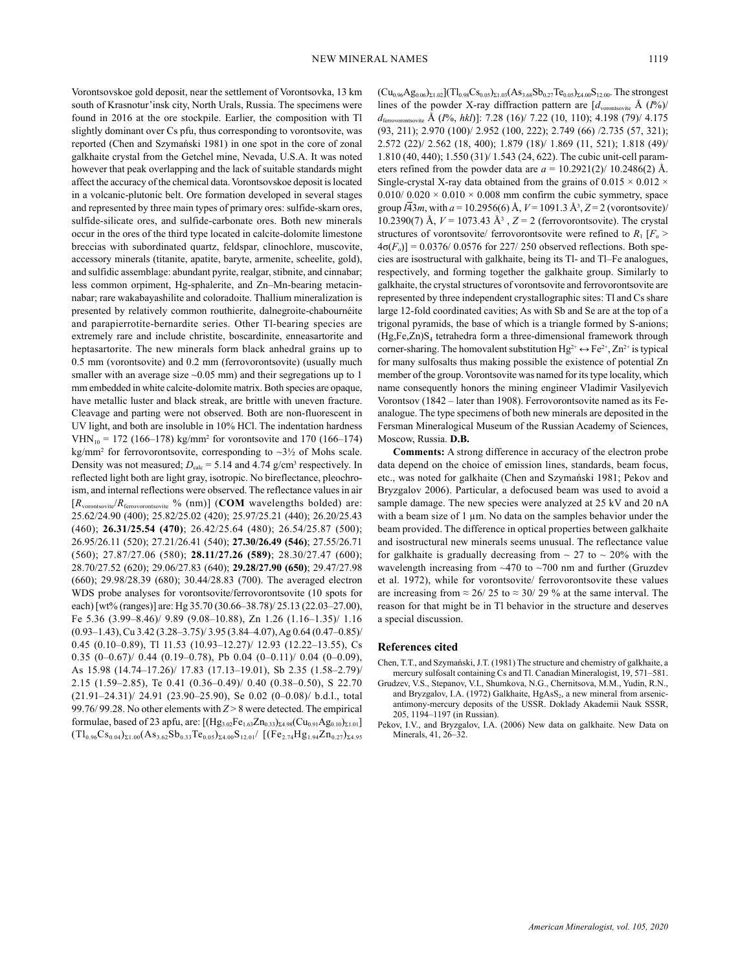Vorontsovskoe gold deposit, near the settlement of Vorontsovka, 13 km south of Krasnotur'insk city, North Urals, Russia. The specimens were found in 2016 at the ore stockpile. Earlier, the composition with Tl slightly dominant over Cs pfu, thus corresponding to vorontsovite, was reported (Chen and Szymański 1981) in one spot in the core of zonal galkhaite crystal from the Getchel mine, Nevada, U.S.A. It was noted however that peak overlapping and the lack of suitable standards might affect the accuracy of the chemical data. Vorontsovskoe deposit is located in a volcanic-plutonic belt. Ore formation developed in several stages and represented by three main types of primary ores: sulfide-skarn ores, sulfide-silicate ores, and sulfide-carbonate ores. Both new minerals occur in the ores of the third type located in calcite-dolomite limestone breccias with subordinated quartz, feldspar, clinochlore, muscovite, accessory minerals (titanite, apatite, baryte, armenite, scheelite, gold), and sulfidic assemblage: abundant pyrite, realgar, stibnite, and cinnabar; less common orpiment, Hg-sphalerite, and Zn–Mn-bearing metacinnabar; rare wakabayashilite and coloradoite. Thallium mineralization is presented by relatively common routhierite, dalnegroite-chabournéite and parapierrotite-bernardite series. Other Tl-bearing species are extremely rare and include christite, boscardinite, enneasartorite and heptasartorite. The new minerals form black anhedral grains up to 0.5 mm (vorontsovite) and 0.2 mm (ferrovorontsovite) (usually much smaller with an average size  $\sim 0.05$  mm) and their segregations up to 1 mm embedded in white calcite-dolomite matrix. Both species are opaque, have metallic luster and black streak, are brittle with uneven fracture. Cleavage and parting were not observed. Both are non-fluorescent in UV light, and both are insoluble in 10% HCl. The indentation hardness  $VHN_{10} = 172 (166-178)$  kg/mm<sup>2</sup> for vorontsovite and 170 (166-174)  $kg/mm^2$  for ferrovorontsovite, corresponding to  $\sim 3\frac{1}{2}$  of Mohs scale. Density was not measured;  $D_{\text{calc}} = 5.14$  and  $4.74$  g/cm<sup>3</sup> respectively. In reflected light both are light gray, isotropic. No bireflectance, pleochroism, and internal reflections were observed. The reflectance values in air [*R*vorontsovite/*R*ferrovorontsovite % (nm)] (**COM** wavelengths bolded) are: 25.62/24.90 (400); 25.82/25.02 (420); 25.97/25.21 (440); 26.20/25.43 (460); **26.31/25.54 (470)**; 26.42/25.64 (480); 26.54/25.87 (500); 26.95/26.11 (520); 27.21/26.41 (540); **27.30/26.49 (546)**; 27.55/26.71 (560); 27.87/27.06 (580); **28.11/27.26 (589)**; 28.30/27.47 (600); 28.70/27.52 (620); 29.06/27.83 (640); **29.28/27.90 (650)**; 29.47/27.98 (660); 29.98/28.39 (680); 30.44/28.83 (700). The averaged electron WDS probe analyses for vorontsovite/ferrovorontsovite (10 spots for each) [wt% (ranges)] are: Hg 35.70 (30.66–38.78)/ 25.13 (22.03–27.00), Fe 5.36 (3.99–8.46)/ 9.89 (9.08–10.88), Zn 1.26 (1.16–1.35)/ 1.16 (0.93–1.43), Cu 3.42 (3.28–3.75)/ 3.95 (3.84–4.07), Ag 0.64 (0.47–0.85)/ 0.45 (0.10–0.89), Tl 11.53 (10.93–12.27)/ 12.93 (12.22–13.55), Cs 0.35  $(0-0.67)$ / 0.44  $(0.19-0.78)$ , Pb 0.04  $(0-0.11)$ / 0.04  $(0-0.09)$ , As 15.98 (14.74–17.26)/ 17.83 (17.13–19.01), Sb 2.35 (1.58–2.79)/ 2.15 (1.59–2.85), Te 0.41 (0.36–0.49)/ 0.40 (0.38–0.50), S 22.70 (21.91–24.31)/ 24.91 (23.90–25.90), Se 0.02 (0–0.08)/ b.d.l., total 99.76/ 99.28. No other elements with *Z* > 8 were detected. The empirical formulae, based of 23 apfu, are:  $[(Hg_{3.02}Fe_{1.63}Zn_{0.33})_{\Sigma4.98}(Cu_{0.91}Ag_{0.10})_{\Sigma1.01}]$  $(Tl_{0.96}Cs_{0.04})_{\Sigma1.00}(As_{3.62}Sb_{0.33}Te_{0.05})_{\Sigma4.00}S_{12.01}/$   $[(Fe_{2.74}Hg_{1.94}Zn_{0.27})_{\Sigma4.95}$ 

 $(Cu_{0.96}Ag_{0.06})_{\Sigma1.02}](Tl_{0.98}Cs_{0.05})_{\Sigma1.03}(As_{3.68}Sb_{0.27}Te_{0.05})_{\Sigma4.00}S_{12.00}$ . The strongest lines of the powder X-ray diffraction pattern are  $\left[d_{\text{vornisovite}} \text{ Å } (I\%)$ *d*ferrovorontsovite Å (*I*%, *hkl*)]: 7.28 (16)/ 7.22 (10, 110); 4.198 (79)/ 4.175 (93, 211); 2.970 (100)/ 2.952 (100, 222); 2.749 (66) /2.735 (57, 321); 2.572 (22)/ 2.562 (18, 400); 1.879 (18)/ 1.869 (11, 521); 1.818 (49)/ 1.810 (40, 440); 1.550 (31)/ 1.543 (24, 622). The cubic unit-cell parameters refined from the powder data are  $a = 10.2921(2)/10.2486(2)$  Å. Single-crystal X-ray data obtained from the grains of 0.015  $\times$  0.012  $\times$ 0.010/ 0.020  $\times$  0.010  $\times$  0.008 mm confirm the cubic symmetry, space group *I*43*m*, with *a* = 10.2956(6) Å, *V* = 1091.3 Å3 , *Z* = 2 (vorontsovite)/ 10.2390(7) Å, *V* = 1073.43 Å3 , *Z* = 2 (ferrovorontsovite). The crystal structures of vorontsovite/ ferrovorontsovite were refined to  $R_1$  [ $F_0$  >  $4\sigma(F_o)$ ] = 0.0376/ 0.0576 for 227/ 250 observed reflections. Both species are isostructural with galkhaite, being its Tl- and Tl–Fe analogues, respectively, and forming together the galkhaite group. Similarly to galkhaite, the crystal structures of vorontsovite and ferrovorontsovite are represented by three independent crystallographic sites: Tl and Cs share large 12-fold coordinated cavities; As with Sb and Se are at the top of a trigonal pyramids, the base of which is a triangle formed by S-anions;  $(Hg,Fe,Zn)S<sub>4</sub>$  tetrahedra form a three-dimensional framework through corner-sharing. The homovalent substitution  $Hg^{2+} \leftrightarrow Fe^{2+}$ ,  $Zn^{2+}$  is typical for many sulfosalts thus making possible the existence of potential Zn member of the group. Vorontsovite was named for its type locality, which name consequently honors the mining engineer Vladimir Vasilyevich Vorontsov (1842 – later than 1908). Ferrovorontsovite named as its Feanalogue. The type specimens of both new minerals are deposited in the Fersman Mineralogical Museum of the Russian Academy of Sciences, Moscow, Russia. **D.B.**

**Comments:** A strong difference in accuracy of the electron probe data depend on the choice of emission lines, standards, beam focus, etc., was noted for galkhaite (Chen and Szymański 1981; Pekov and Bryzgalov 2006). Particular, a defocused beam was used to avoid a sample damage. The new species were analyzed at 25 kV and 20 nA with a beam size of 1 µm. No data on the samples behavior under the beam provided. The difference in optical properties between galkhaite and isostructural new minerals seems unusual. The reflectance value for galkhaite is gradually decreasing from  $\sim 27$  to  $\sim 20\%$  with the wavelength increasing from ~470 to ~700 nm and further (Gruzdev et al. 1972), while for vorontsovite/ ferrovorontsovite these values are increasing from  $\approx 26/25$  to  $\approx 30/29$  % at the same interval. The reason for that might be in Tl behavior in the structure and deserves a special discussion.

# **References cited**

- Chen, T.T., and Szymański, J.T. (1981) The structure and chemistry of galkhaite, a mercury sulfosalt containing Cs and Tl. Canadian Mineralogist, 19, 571–581.
- Grudzev, V.S., Stepanov, V.I., Shumkova, N.G., Chernitsova, M.M., Yudin, R.N., and Bryzgalov, I.A. (1972) Galkhaite, HgAsS<sub>2</sub>, a new mineral from arsenicantimony-mercury deposits of the USSR. Doklady Akademii Nauk SSSR, 205, 1194–1197 (in Russian).
- Pekov, I.V., and Bryzgalov, I.A. (2006) New data on galkhaite. New Data on Minerals, 41, 26–32.